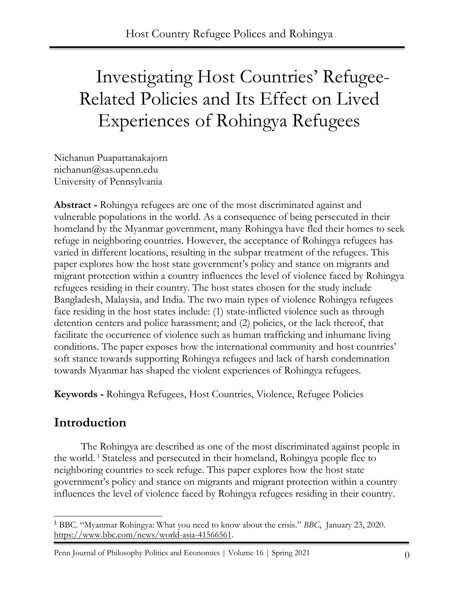# Investigating Host Countries' Refugee-Related Policies and Its Effect on Lived Experiences of Rohingya Refugees

Nichanun Puapattanakajorn nichanun@sas.upenn.edu University of Pennsylvania

**Abstract -** Rohingya refugees are one of the most discriminated against and vulnerable populations in the world. As a consequence of being persecuted in their homeland by the Myanmar government, many Rohingya have fled their homes to seek refuge in neighboring countries. However, the acceptance of Rohingya refugees has varied in different locations, resulting in the subpar treatment of the refugees. This paper explores how the host state government's policy and stance on migrants and migrant protection within a country influences the level of violence faced by Rohingya refugees residing in their country. The host states chosen for the study include Bangladesh, Malaysia, and India. The two main types of violence Rohingya refugees face residing in the host states include: (1) state-inflicted violence such as through detention centers and police harassment; and (2) policies, or the lack thereof, that facilitate the occurrence of violence such as human trafficking and inhumane living conditions. The paper exposes how the international community and host countries' soft stance towards supporting Rohingya refugees and lack of harsh condemnation towards Myanmar has shaped the violent experiences of Rohingya refugees.

**Keywords -** Rohingya Refugees, Host Countries, Violence, Refugee Policies

### **Introduction**

The Rohingya are described as one of the most discriminated against people in the world. <sup>1</sup> Stateless and persecuted in their homeland, Rohingya people flee to neighboring countries to seek refuge. This paper explores how the host state government's policy and stance on migrants and migrant protection within a country influences the level of violence faced by Rohingya refugees residing in their country.

<sup>1</sup> BBC. "Myanmar Rohingya: What you need to know about the crisis." *BBC*, January 23, 2020. [https://www.bbc.com/news/world-asia-41566561.](https://www.bbc.com/news/world-asia-41566561)

Penn Journal of Philosophy Politics and Economics | Volume 16 | Spring 2021 0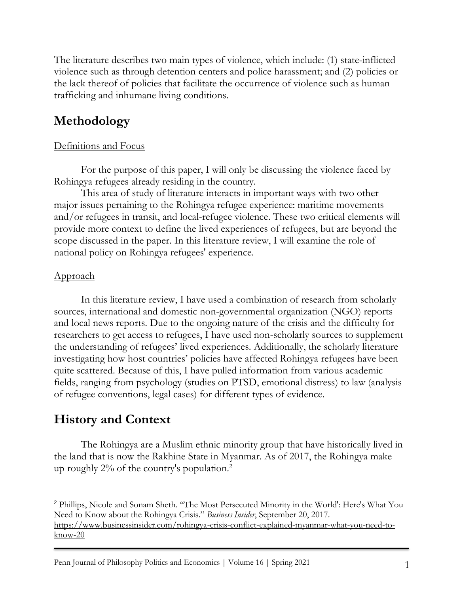The literature describes two main types of violence, which include: (1) state-inflicted violence such as through detention centers and police harassment; and (2) policies or the lack thereof of policies that facilitate the occurrence of violence such as human trafficking and inhumane living conditions.

# **Methodology**

#### Definitions and Focus

For the purpose of this paper, I will only be discussing the violence faced by Rohingya refugees already residing in the country.

This area of study of literature interacts in important ways with two other major issues pertaining to the Rohingya refugee experience: maritime movements and/or refugees in transit, and local-refugee violence. These two critical elements will provide more context to define the lived experiences of refugees, but are beyond the scope discussed in the paper. In this literature review, I will examine the role of national policy on Rohingya refugees' experience.

#### Approach

In this literature review, I have used a combination of research from scholarly sources, international and domestic non-governmental organization (NGO) reports and local news reports. Due to the ongoing nature of the crisis and the difficulty for researchers to get access to refugees, I have used non-scholarly sources to supplement the understanding of refugees' lived experiences. Additionally, the scholarly literature investigating how host countries' policies have affected Rohingya refugees have been quite scattered. Because of this, I have pulled information from various academic fields, ranging from psychology (studies on PTSD, emotional distress) to law (analysis of refugee conventions, legal cases) for different types of evidence.

### **History and Context**

The Rohingya are a Muslim ethnic minority group that have historically lived in the land that is now the Rakhine State in Myanmar. As of 2017, the Rohingya make up roughly  $2\%$  of the country's population.<sup>2</sup>

<sup>2</sup> Phillips, Nicole and [Sonam Sheth](https://www.businessinsider.com/author/sonam-sheth). "The Most Persecuted Minority in the World': Here's What You Need to Know about the Rohingya Crisis." *Business Insider*, September 20, 2017. [https://www.businessinsider.com/rohingya-crisis-conflict-explained-myanmar-what-you-need-to](https://www.businessinsider.com/rohingya-crisis-conflict-explained-myanmar-what-you-need-to-know-20)[know-20](https://www.businessinsider.com/rohingya-crisis-conflict-explained-myanmar-what-you-need-to-know-20)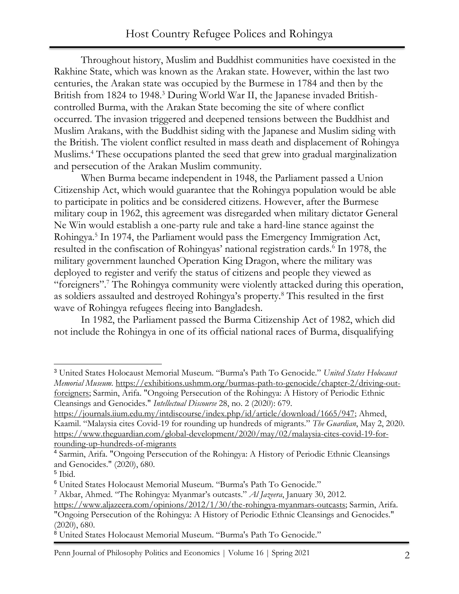Throughout history, Muslim and Buddhist communities have coexisted in the Rakhine State, which was known as the Arakan state. However, within the last two centuries, the Arakan state was occupied by the Burmese in 1784 and then by the British from 1824 to 1948.<sup>3</sup> During World War II, the Japanese invaded Britishcontrolled Burma, with the Arakan State becoming the site of where conflict occurred. The invasion triggered and deepened tensions between the Buddhist and Muslim Arakans, with the Buddhist siding with the Japanese and Muslim siding with the British. The violent conflict resulted in mass death and displacement of Rohingya Muslims.<sup>4</sup> These occupations planted the seed that grew into gradual marginalization and persecution of the Arakan Muslim community.

When Burma became independent in 1948, the Parliament passed a Union Citizenship Act, which would guarantee that the Rohingya population would be able to participate in politics and be considered citizens. However, after the Burmese military coup in 1962, this agreement was disregarded when military dictator General Ne Win would establish a one-party rule and take a hard-line stance against the Rohingya.<sup>5</sup> In 1974, the Parliament would pass the Emergency Immigration Act, resulted in the confiscation of Rohingyas' national registration cards.<sup>6</sup> In 1978, the military government launched Operation King Dragon, where the military was deployed to register and verify the status of citizens and people they viewed as "foreigners".<sup>7</sup> The Rohingya community were violently attacked during this operation, as soldiers assaulted and destroyed Rohingya's property.<sup>8</sup> This resulted in the first wave of Rohingya refugees fleeing into Bangladesh.

In 1982, the Parliament passed the Burma Citizenship Act of 1982, which did not include the Rohingya in one of its official national races of Burma, disqualifying

<sup>7</sup> Akbar, Ahmed. "The Rohingya: Myanmar's outcasts." *Al Jazeera*, January 30, 2012.

<sup>3</sup> United States Holocaust Memorial Museum. "Burma's Path To Genocide." *United States Holocaust Memorial Museum.* [https://exhibitions.ushmm.org/burmas-path-to-genocide/chapter-2/driving-out](https://exhibitions.ushmm.org/burmas-path-to-genocide/chapter-2/driving-out-foreigners)[foreigners;](https://exhibitions.ushmm.org/burmas-path-to-genocide/chapter-2/driving-out-foreigners) Sarmin, Arifa. "Ongoing Persecution of the Rohingya: A History of Periodic Ethnic Cleansings and Genocides." *Intellectual Discourse* 28, no. 2 (2020): 679.

[https://journals.iium.edu.my/intdiscourse/index.php/id/article/download/1665/947;](https://journals.iium.edu.my/intdiscourse/index.php/id/article/download/1665/947) Ahmed, Kaamil. "Malaysia cites Covid-19 for rounding up hundreds of migrants." *The Guardian*, May 2, 2020. [https://www.theguardian.com/global-development/2020/may/02/malaysia-cites-covid-19-for](https://www.theguardian.com/global-development/2020/may/02/malaysia-cites-covid-19-for-rounding-up-hundreds-of-migrants)[rounding-up-hundreds-of-migrants](https://www.theguardian.com/global-development/2020/may/02/malaysia-cites-covid-19-for-rounding-up-hundreds-of-migrants)

<sup>4</sup> Sarmin, Arifa. "Ongoing Persecution of the Rohingya: A History of Periodic Ethnic Cleansings and Genocides." (2020), 680.

<sup>5</sup> Ibid.

<sup>6</sup> United States Holocaust Memorial Museum. "Burma's Path To Genocide."

[https://www.aljazeera.com/opinions/2012/1/30/the-rohingya-myanmars-outcasts;](https://www.aljazeera.com/opinions/2012/1/30/the-rohingya-myanmars-outcasts) Sarmin, Arifa. "Ongoing Persecution of the Rohingya: A History of Periodic Ethnic Cleansings and Genocides."

<sup>(2020), 680.</sup>

<sup>8</sup> United States Holocaust Memorial Museum. "Burma's Path To Genocide."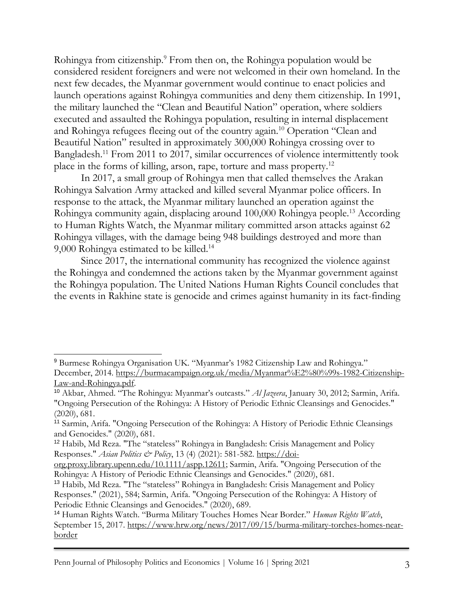Rohingya from citizenship.<sup>9</sup> From then on, the Rohingya population would be considered resident foreigners and were not welcomed in their own homeland. In the next few decades, the Myanmar government would continue to enact policies and launch operations against Rohingya communities and deny them citizenship. In 1991, the military launched the "Clean and Beautiful Nation" operation, where soldiers executed and assaulted the Rohingya population, resulting in internal displacement and Rohingya refugees fleeing out of the country again.<sup>10</sup> Operation "Clean and Beautiful Nation" resulted in approximately 300,000 Rohingya crossing over to Bangladesh.<sup>11</sup> From 2011 to 2017, similar occurrences of violence intermittently took place in the forms of killing, arson, rape, torture and mass property.<sup>12</sup>

In 2017, a small group of Rohingya men that called themselves the Arakan Rohingya Salvation Army attacked and killed several Myanmar police officers. In response to the attack, the Myanmar military launched an operation against the Rohingya community again, displacing around 100,000 Rohingya people.<sup>13</sup> According to Human Rights Watch, the Myanmar military committed arson attacks against 62 Rohingya villages, with the damage being 948 buildings destroyed and more than 9,000 Rohingya estimated to be killed.<sup>14</sup>

Since 2017, the international community has recognized the violence against the Rohingya and condemned the actions taken by the Myanmar government against the Rohingya population. The United Nations Human Rights Council concludes that the events in Rakhine state is genocide and crimes against humanity in its fact-finding

<sup>9</sup> Burmese Rohingya Organisation UK. "Myanmar's 1982 Citizenship Law and Rohingya." December, 2014. [https://burmacampaign.org.uk/media/Myanmar%E2%80%99s-1982-Citizenship-](https://burmacampaign.org.uk/media/Myanmar%E2%80%99s-1982-Citizenship-Law-and-Rohingya.pdf)[Law-and-Rohingya.pdf.](https://burmacampaign.org.uk/media/Myanmar%E2%80%99s-1982-Citizenship-Law-and-Rohingya.pdf)

<sup>10</sup> Akbar, Ahmed. "The Rohingya: Myanmar's outcasts." *Al Jazeera*, January 30, 2012; Sarmin, Arifa. "Ongoing Persecution of the Rohingya: A History of Periodic Ethnic Cleansings and Genocides." (2020), 681.

<sup>11</sup> Sarmin, Arifa. "Ongoing Persecution of the Rohingya: A History of Periodic Ethnic Cleansings and Genocides." (2020), 681.

<sup>12</sup> Habib, Md Reza. "The "stateless" Rohingya in Bangladesh: Crisis Management and Policy Responses." *Asian Politics & Policy*, 13 (4) (2021): 581-582. [https://doi-](https://doi-org.proxy.library.upenn.edu/10.1111/aspp.12611)

[org.proxy.library.upenn.edu/10.1111/aspp.12611;](https://doi-org.proxy.library.upenn.edu/10.1111/aspp.12611) Sarmin, Arifa. "Ongoing Persecution of the Rohingya: A History of Periodic Ethnic Cleansings and Genocides." (2020), 681.

<sup>13</sup> Habib, Md Reza. "The "stateless" Rohingya in Bangladesh: Crisis Management and Policy Responses." (2021), 584; Sarmin, Arifa. "Ongoing Persecution of the Rohingya: A History of Periodic Ethnic Cleansings and Genocides." (2020), 689.

<sup>14</sup> Human Rights Watch. "Burma Military Touches Homes Near Border." *Human Rights Watch*, September 15, 2017. [https://www.hrw.org/news/2017/09/15/burma-military-torches-homes-near](https://www.hrw.org/news/2017/09/15/burma-military-torches-homes-near-border)[border](https://www.hrw.org/news/2017/09/15/burma-military-torches-homes-near-border)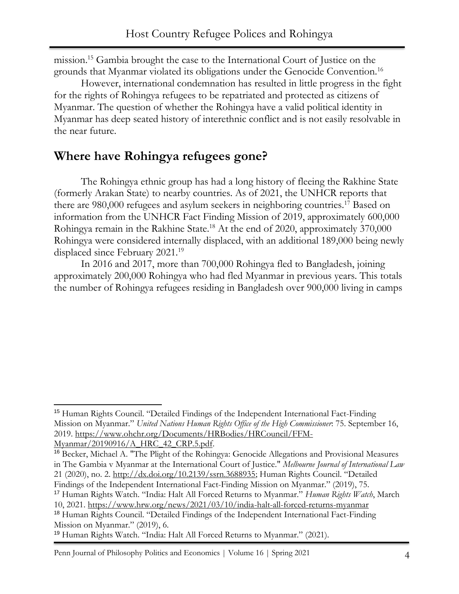mission.<sup>15</sup> Gambia brought the case to the International Court of Justice on the grounds that Myanmar violated its obligations under the Genocide Convention.<sup>16</sup>

However, international condemnation has resulted in little progress in the fight for the rights of Rohingya refugees to be repatriated and protected as citizens of Myanmar. The question of whether the Rohingya have a valid political identity in Myanmar has deep seated history of interethnic conflict and is not easily resolvable in the near future.

### **Where have Rohingya refugees gone?**

The Rohingya ethnic group has had a long history of fleeing the Rakhine State (formerly Arakan State) to nearby countries. As of 2021, the UNHCR reports that there are 980,000 refugees and asylum seekers in neighboring countries.<sup>17</sup> Based on information from the UNHCR Fact Finding Mission of 2019, approximately 600,000 Rohingya remain in the Rakhine State.<sup>18</sup> At the end of 2020, approximately 370,000 Rohingya were considered internally displaced, with an additional 189,000 being newly displaced since February 2021.<sup>19</sup>

In 2016 and 2017, more than 700,000 Rohingya fled to Bangladesh, joining approximately 200,000 Rohingya who had fled Myanmar in previous years. This totals the number of Rohingya refugees residing in Bangladesh over 900,000 living in camps

[Myanmar/20190916/A\\_HRC\\_42\\_CRP.5.pdf.](https://www.ohchr.org/Documents/HRBodies/HRCouncil/FFM-Myanmar/20190916/A_HRC_42_CRP.5.pdf)

<sup>17</sup> Human Rights Watch. "India: Halt All Forced Returns to Myanmar." *Human Rights Watch*, March

10, 2021.<https://www.hrw.org/news/2021/03/10/india-halt-all-forced-returns-myanmar> <sup>18</sup> Human Rights Council. "Detailed Findings of the Independent International Fact-Finding

Mission on Myanmar." (2019), 6.

<sup>19</sup> Human Rights Watch. "India: Halt All Forced Returns to Myanmar." (2021).

Penn Journal of Philosophy Politics and Economics | Volume 16 | Spring 2021 4

<sup>15</sup> Human Rights Council. "Detailed Findings of the Independent International Fact-Finding Mission on Myanmar." *United Nations Human Rights Office of the High Commissioner*: 75. September 16, 2019. [https://www.ohchr.org/Documents/HRBodies/HRCouncil/FFM-](https://www.ohchr.org/Documents/HRBodies/HRCouncil/FFM-Myanmar/20190916/A_HRC_42_CRP.5.pdf)

<sup>16</sup> Becker, Michael A. "The Plight of the Rohingya: Genocide Allegations and Provisional Measures in The Gambia v Myanmar at the International Court of Justice." *Melbourne Journal of International Law* 21 (2020), no. 2. [http://dx.doi.org/10.2139/ssrn.3688935](https://dx.doi.org/10.2139/ssrn.3688935); Human Rights Council. "Detailed Findings of the Independent International Fact-Finding Mission on Myanmar." (2019), 75.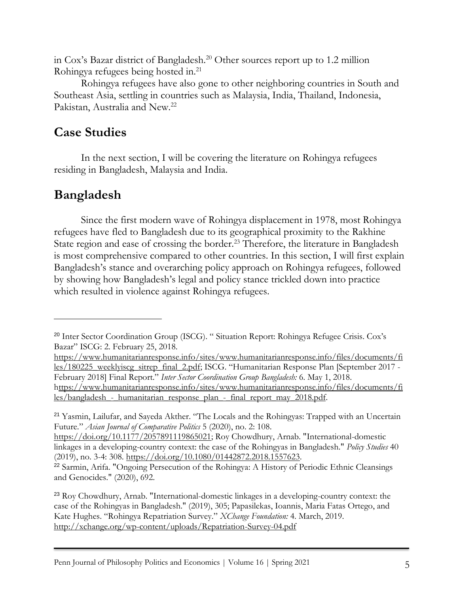in Cox's Bazar district of Bangladesh.<sup>20</sup> Other sources report up to 1.2 million Rohingya refugees being hosted in.<sup>21</sup>

Rohingya refugees have also gone to other neighboring countries in South and Southeast Asia, settling in countries such as Malaysia, India, Thailand, Indonesia, Pakistan, Australia and New.<sup>22</sup>

### **Case Studies**

In the next section, I will be covering the literature on Rohingya refugees residing in Bangladesh, Malaysia and India.

## **Bangladesh**

Since the first modern wave of Rohingya displacement in 1978, most Rohingya refugees have fled to Bangladesh due to its geographical proximity to the Rakhine State region and ease of crossing the border.<sup>23</sup> Therefore, the literature in Bangladesh is most comprehensive compared to other countries. In this section, I will first explain Bangladesh's stance and overarching policy approach on Rohingya refugees, followed by showing how Bangladesh's legal and policy stance trickled down into practice which resulted in violence against Rohingya refugees.

[https://www.humanitarianresponse.info/sites/www.humanitarianresponse.info/files/documents/fi](https://www.humanitarianresponse.info/sites/www.humanitarianresponse.info/files/documents/files/180225_weeklyiscg_sitrep_final_2.pdf) [les/180225\\_weeklyiscg\\_sitrep\\_final\\_2.pdf](https://www.humanitarianresponse.info/sites/www.humanitarianresponse.info/files/documents/files/180225_weeklyiscg_sitrep_final_2.pdf); ISCG. "Humanitarian Response Plan [September 2017 - February 2018] Final Report." *Inter Sector Coordination Group Bangladesh:* 6. May 1, 2018. [https://www.humanitarianresponse.info/sites/www.humanitarianresponse.info/files/documents/fi](https://www.humanitarianresponse.info/sites/www.humanitarianresponse.info/files/documents/files/bangladesh_-_humanitarian_response_plan_-_final_report_may_2018.pdf) les/bangladesh - humanitarian response plan - final report may 2018.pdf.

<sup>21</sup> Yasmin, Lailufar, and Sayeda Akther. "The Locals and the Rohingyas: Trapped with an Uncertain Future." *Asian Journal of Comparative Politics* 5 (2020), no. 2: 108.

[https://doi.org/10.1177/2057891119865021;](https://doi.org/10.1177/2057891119865021) Roy Chowdhury, Arnab. "International-domestic linkages in a developing-country context: the case of the Rohingyas in Bangladesh." *Policy Studies* 40 (2019), no. 3-4: 308. [https://doi.org/10.1080/01442872.2018.1557623.](https://doi.org/10.1080/01442872.2018.1557623)

<sup>22</sup> Sarmin, Arifa. "Ongoing Persecution of the Rohingya: A History of Periodic Ethnic Cleansings and Genocides." (2020), 692.

<sup>23</sup> Roy Chowdhury, Arnab. "International-domestic linkages in a developing-country context: the case of the Rohingyas in Bangladesh." (2019), 305; Papasilekas, Ioannis, Maria Fatas Ortego, and Kate Hughes. "Rohingya Repatriation Survey." *XChange Foundation:* 4. March, 2019. <http://xchange.org/wp-content/uploads/Repatriation-Survey-04.pdf>

<sup>&</sup>lt;sup>20</sup> Inter Sector Coordination Group (ISCG). "Situation Report: Rohingya Refugee Crisis. Cox's Bazar" ISCG: 2. February 25, 2018.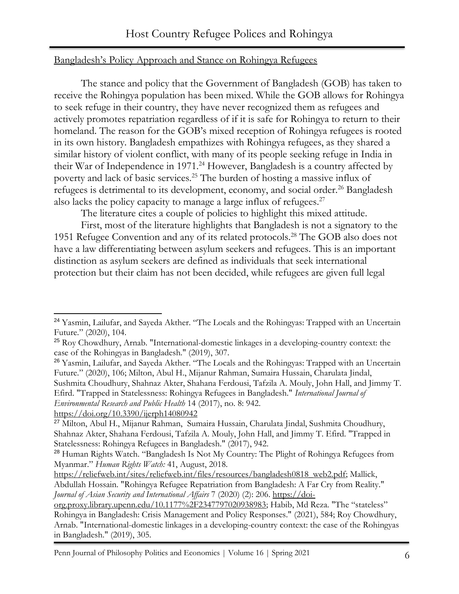#### Bangladesh's Policy Approach and Stance on Rohingya Refugees

The stance and policy that the Government of Bangladesh (GOB) has taken to receive the Rohingya population has been mixed. While the GOB allows for Rohingya to seek refuge in their country, they have never recognized them as refugees and actively promotes repatriation regardless of if it is safe for Rohingya to return to their homeland. The reason for the GOB's mixed reception of Rohingya refugees is rooted in its own history. Bangladesh empathizes with Rohingya refugees, as they shared a similar history of violent conflict, with many of its people seeking refuge in India in their War of Independence in 1971.<sup>24</sup> However, Bangladesh is a country affected by poverty and lack of basic services.<sup>25</sup> The burden of hosting a massive influx of refugees is detrimental to its development, economy, and social order.<sup>26</sup> Bangladesh also lacks the policy capacity to manage a large influx of refugees. $27$ 

The literature cites a couple of policies to highlight this mixed attitude.

First, most of the literature highlights that Bangladesh is not a signatory to the 1951 Refugee Convention and any of its related protocols.<sup>28</sup> The GOB also does not have a law differentiating between asylum seekers and refugees. This is an important distinction as asylum seekers are defined as individuals that seek international protection but their claim has not been decided, while refugees are given full legal

<https://doi.org/10.3390/ijerph14080942>

<sup>&</sup>lt;sup>24</sup> Yasmin, Lailufar, and Sayeda Akther. "The Locals and the Rohingyas: Trapped with an Uncertain Future." (2020), 104.

<sup>&</sup>lt;sup>25</sup> Roy Chowdhury, Arnab. "International-domestic linkages in a developing-country context: the case of the Rohingyas in Bangladesh." (2019), 307.

<sup>&</sup>lt;sup>26</sup> Yasmin, Lailufar, and Sayeda Akther. "The Locals and the Rohingyas: Trapped with an Uncertain Future." (2020), 106; Milton, Abul H., Mijanur Rahman, Sumaira Hussain, Charulata Jindal, Sushmita Choudhury, Shahnaz Akter, Shahana Ferdousi, Tafzila A. Mouly, John Hall, and Jimmy T. Efird. "Trapped in Statelessness: Rohingya Refugees in Bangladesh." *International Journal of Environmental Research and Public Health* 14 (2017), no. 8: 942.

<sup>27</sup> Milton, Abul H., Mijanur Rahman, Sumaira Hussain, Charulata Jindal, Sushmita Choudhury, Shahnaz Akter, Shahana Ferdousi, Tafzila A. Mouly, John Hall, and Jimmy T. Efird. "Trapped in Statelessness: Rohingya Refugees in Bangladesh." (2017), 942.

<sup>&</sup>lt;sup>28</sup> Human Rights Watch. "Bangladesh Is Not My Country: The Plight of Rohingya Refugees from Myanmar." *Human Rights Watch:* 41, August, 2018.

[https://reliefweb.int/sites/reliefweb.int/files/resources/bangladesh0818\\_web2.pdf;](https://reliefweb.int/sites/reliefweb.int/files/resources/bangladesh0818_web2.pdf) Mallick, Abdullah Hossain. "Rohingya Refugee Repatriation from Bangladesh: A Far Cry from Reality." *Journal of Asian Security and International Affairs* 7 (2020) (2): 206. [https://doi-](https://doi-org.proxy.library.upenn.edu/10.1177%2F2347797020938983)

[org.proxy.library.upenn.edu/10.1177%2F2347797020938983](https://doi-org.proxy.library.upenn.edu/10.1177%2F2347797020938983); Habib, Md Reza. "The "stateless" Rohingya in Bangladesh: Crisis Management and Policy Responses." (2021), 584; Roy Chowdhury, Arnab. "International-domestic linkages in a developing-country context: the case of the Rohingyas in Bangladesh." (2019), 305.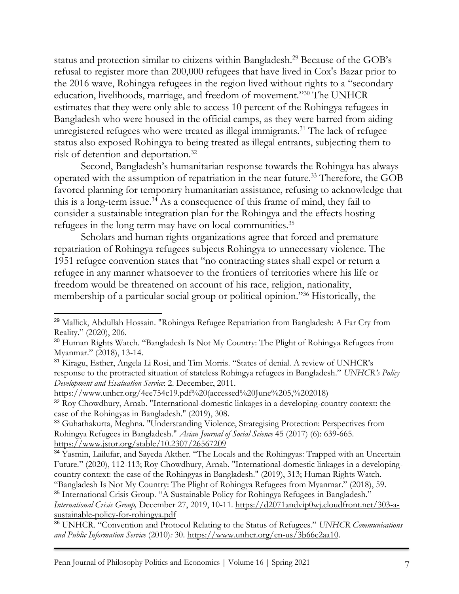status and protection similar to citizens within Bangladesh.<sup>29</sup> Because of the GOB's refusal to register more than 200,000 refugees that have lived in Cox's Bazar prior to the 2016 wave, Rohingya refugees in the region lived without rights to a "secondary education, livelihoods, marriage, and freedom of movement."<sup>30</sup> The UNHCR estimates that they were only able to access 10 percent of the Rohingya refugees in Bangladesh who were housed in the official camps, as they were barred from aiding unregistered refugees who were treated as illegal immigrants.<sup>31</sup> The lack of refugee status also exposed Rohingya to being treated as illegal entrants, subjecting them to risk of detention and deportation.<sup>32</sup>

Second, Bangladesh's humanitarian response towards the Rohingya has always operated with the assumption of repatriation in the near future.<sup>33</sup> Therefore, the GOB favored planning for temporary humanitarian assistance, refusing to acknowledge that this is a long-term issue.<sup>34</sup> As a consequence of this frame of mind, they fail to consider a sustainable integration plan for the Rohingya and the effects hosting refugees in the long term may have on local communities.<sup>35</sup>

Scholars and human rights organizations agree that forced and premature repatriation of Rohingya refugees subjects Rohingya to unnecessary violence. The 1951 refugee convention states that "no contracting states shall expel or return a refugee in any manner whatsoever to the frontiers of territories where his life or freedom would be threatened on account of his race, religion, nationality, membership of a particular social group or political opinion."<sup>36</sup> Historically, the

<sup>&</sup>lt;sup>29</sup> Mallick, Abdullah Hossain. "Rohingya Refugee Repatriation from Bangladesh: A Far Cry from Reality." (2020), 206.

<sup>&</sup>lt;sup>30</sup> Human Rights Watch. "Bangladesh Is Not My Country: The Plight of Rohingya Refugees from Myanmar." (2018), 13-14.

<sup>31</sup> Kiragu, Esther, Angela Li Rosi, and Tim Morris. "States of denial. A review of UNHCR's response to the protracted situation of stateless Rohingya refugees in Bangladesh." *UNHCR's Policy Development and Evaluation Service*: 2. December, 2011.

[https://www.unhcr.org/4ee754c19.pdf%20\(accessed%20June%205,%202018\)](https://www.unhcr.org/4ee754c19.pdf%20(accessed%20June%205,%202018))

<sup>&</sup>lt;sup>32</sup> Roy Chowdhury, Arnab. "International-domestic linkages in a developing-country context: the case of the Rohingyas in Bangladesh." (2019), 308.

<sup>33</sup> Guhathakurta, Meghna. "Understanding Violence, Strategising Protection: Perspectives from Rohingya Refugees in Bangladesh." *Asian Journal of Social Science* 45 (2017) (6): 639-665. <https://www.jstor.org/stable/10.2307/26567209>

<sup>&</sup>lt;sup>34</sup> Yasmin, Lailufar, and Sayeda Akther. "The Locals and the Rohingyas: Trapped with an Uncertain Future." (2020), 112-113; Roy Chowdhury, Arnab. "International-domestic linkages in a developingcountry context: the case of the Rohingyas in Bangladesh." (2019), 313; Human Rights Watch. "Bangladesh Is Not My Country: The Plight of Rohingya Refugees from Myanmar." (2018), 59.

<sup>&</sup>lt;sup>35</sup> International Crisis Group. "A Sustainable Policy for Rohingya Refugees in Bangladesh." *International Crisis Group,* December 27, 2019, 10-11. [https://d2071andvip0wj.cloudfront.net/303-a](https://d2071andvip0wj.cloudfront.net/303-a-sustainable-policy-for-rohingya.pdf)[sustainable-policy-for-rohingya.pdf](https://d2071andvip0wj.cloudfront.net/303-a-sustainable-policy-for-rohingya.pdf)

<sup>36</sup> UNHCR. "Convention and Protocol Relating to the Status of Refugees." *UNHCR Communications and Public Information Service* (2010)*:* 30. [https://www.unhcr.org/en-us/3b66c2aa10.](https://www.unhcr.org/en-us/3b66c2aa10)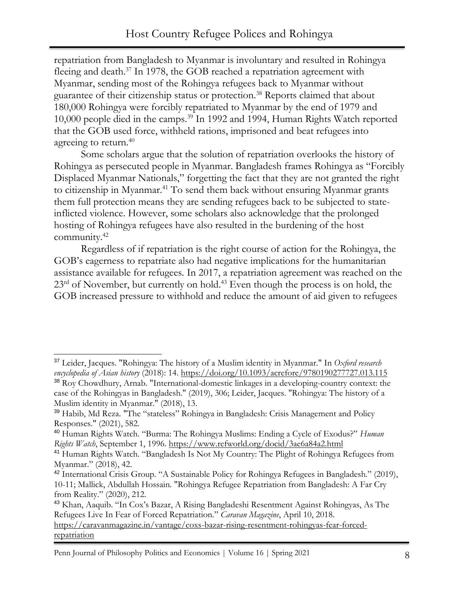repatriation from Bangladesh to Myanmar is involuntary and resulted in Rohingya fleeing and death.<sup>37</sup> In 1978, the GOB reached a repatriation agreement with Myanmar, sending most of the Rohingya refugees back to Myanmar without guarantee of their citizenship status or protection.<sup>38</sup> Reports claimed that about 180,000 Rohingya were forcibly repatriated to Myanmar by the end of 1979 and 10,000 people died in the camps.<sup>39</sup> In 1992 and 1994, Human Rights Watch reported that the GOB used force, withheld rations, imprisoned and beat refugees into agreeing to return.<sup>40</sup>

Some scholars argue that the solution of repatriation overlooks the history of Rohingya as persecuted people in Myanmar. Bangladesh frames Rohingya as "Forcibly Displaced Myanmar Nationals," forgetting the fact that they are not granted the right to citizenship in Myanmar.<sup>41</sup> To send them back without ensuring Myanmar grants them full protection means they are sending refugees back to be subjected to stateinflicted violence. However, some scholars also acknowledge that the prolonged hosting of Rohingya refugees have also resulted in the burdening of the host community.<sup>42</sup>

Regardless of if repatriation is the right course of action for the Rohingya, the GOB's eagerness to repatriate also had negative implications for the humanitarian assistance available for refugees. In 2017, a repatriation agreement was reached on the  $23<sup>rd</sup>$  of November, but currently on hold.<sup>43</sup> Even though the process is on hold, the GOB increased pressure to withhold and reduce the amount of aid given to refugees

<sup>37</sup> Leider, Jacques. "Rohingya: The history of a Muslim identity in Myanmar." In *Oxford research encyclopedia of Asian history* (2018): 14.<https://doi.org/10.1093/acrefore/9780190277727.013.115>

<sup>38</sup> Roy Chowdhury, Arnab. "International-domestic linkages in a developing-country context: the case of the Rohingyas in Bangladesh." (2019), 306; Leider, Jacques. "Rohingya: The history of a Muslim identity in Myanmar." (2018), 13.

<sup>39</sup> Habib, Md Reza. "The "stateless" Rohingya in Bangladesh: Crisis Management and Policy Responses." (2021), 582.

<sup>40</sup> Human Rights Watch. "Burma: The Rohingya Muslims: Ending a Cycle of Exodus?" *Human Rights Watch*, September 1, 1996.<https://www.refworld.org/docid/3ae6a84a2.html>

<sup>&</sup>lt;sup>41</sup> Human Rights Watch. "Bangladesh Is Not My Country: The Plight of Rohingya Refugees from Myanmar." (2018), 42.

<sup>42</sup> International Crisis Group. "A Sustainable Policy for Rohingya Refugees in Bangladesh." (2019), 10-11; Mallick, Abdullah Hossain. "Rohingya Refugee Repatriation from Bangladesh: A Far Cry from Reality." (2020), 212.

<sup>43</sup> Khan, Aaquib. "In Cox's Bazar, A Rising Bangladeshi Resentment Against Rohingyas, As The Refugees Live In Fear of Forced Repatriation." *Caravan Magazine*, April 10, 2018. [https://caravanmagazine.in/vantage/coxs-bazar-rising-resentment-rohingyas-fear-forced](https://caravanmagazine.in/vantage/coxs-bazar-rising-resentment-rohingyas-fear-forced-repatriation)[repatriation](https://caravanmagazine.in/vantage/coxs-bazar-rising-resentment-rohingyas-fear-forced-repatriation)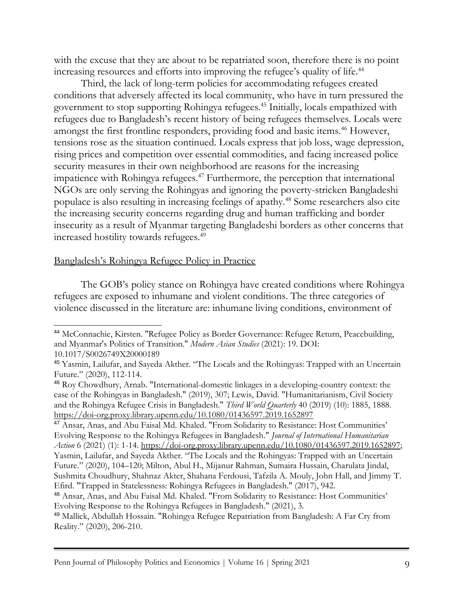with the excuse that they are about to be repatriated soon, therefore there is no point increasing resources and efforts into improving the refugee's quality of life.<sup>44</sup>

Third, the lack of long-term policies for accommodating refugees created conditions that adversely affected its local community, who have in turn pressured the government to stop supporting Rohingya refugees.<sup>45</sup> Initially, locals empathized with refugees due to Bangladesh's recent history of being refugees themselves. Locals were amongst the first frontline responders, providing food and basic items.<sup>46</sup> However, tensions rose as the situation continued. Locals express that job loss, wage depression, rising prices and competition over essential commodities, and facing increased police security measures in their own neighborhood are reasons for the increasing impatience with Rohingya refugees.<sup>47</sup> Furthermore, the perception that international NGOs are only serving the Rohingyas and ignoring the poverty-stricken Bangladeshi populace is also resulting in increasing feelings of apathy.<sup>48</sup> Some researchers also cite the increasing security concerns regarding drug and human trafficking and border insecurity as a result of Myanmar targeting Bangladeshi borders as other concerns that increased hostility towards refugees.<sup>49</sup>

#### Bangladesh's Rohingya Refugee Policy in Practice

The GOB's policy stance on Rohingya have created conditions where Rohingya refugees are exposed to inhumane and violent conditions. The three categories of violence discussed in the literature are: inhumane living conditions, environment of

<sup>47</sup> Ansar, Anas, and Abu Faisal Md. Khaled. "From Solidarity to Resistance: Host Communities' Evolving Response to the Rohingya Refugees in Bangladesh." *Journal of International Humanitarian Action* 6 (2021) (1): 1-14. [https://doi-org.proxy.library.upenn.edu/10.1080/01436597.2019.1652897;](https://doi-org.proxy.library.upenn.edu/10.1080/01436597.2019.1652897) Yasmin, Lailufar, and Sayeda Akther. "The Locals and the Rohingyas: Trapped with an Uncertain Future." (2020), 104–120; Milton, Abul H., Mijanur Rahman, Sumaira Hussain, Charulata Jindal, Sushmita Choudhury, Shahnaz Akter, Shahana Ferdousi, Tafzila A. Mouly, John Hall, and Jimmy T. Efird. "Trapped in Statelessness: Rohingya Refugees in Bangladesh." (2017), 942.

<sup>44</sup> McConnachie, Kirsten. "Refugee Policy as Border Governance: Refugee Return, Peacebuilding, and Myanmar's Politics of Transition." *Modern Asian Studies* (2021): 19. DOI: 10.1017/S0026749X20000189

<sup>45</sup> Yasmin, Lailufar, and Sayeda Akther. "The Locals and the Rohingyas: Trapped with an Uncertain Future." (2020), 112-114.

<sup>46</sup> Roy Chowdhury, Arnab. "International-domestic linkages in a developing-country context: the case of the Rohingyas in Bangladesh." (2019), 307; Lewis, David. "Humanitarianism, Civil Society and the Rohingya Refugee Crisis in Bangladesh." *Third World Quarterly* 40 (2019) (10): 1885, 1888. <https://doi-org.proxy.library.upenn.edu/10.1080/01436597.2019.1652897>

<sup>48</sup> Ansar, Anas, and Abu Faisal Md. Khaled. "From Solidarity to Resistance: Host Communities' Evolving Response to the Rohingya Refugees in Bangladesh." (2021), 3.

<sup>49</sup> Mallick, Abdullah Hossain. "Rohingya Refugee Repatriation from Bangladesh: A Far Cry from Reality." (2020), 206-210.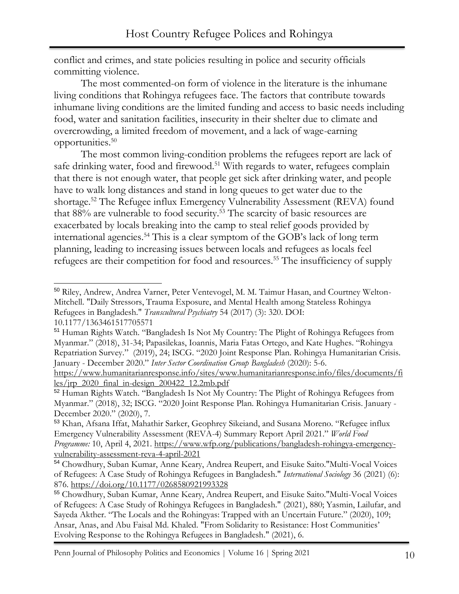conflict and crimes, and state policies resulting in police and security officials committing violence.

The most commented-on form of violence in the literature is the inhumane living conditions that Rohingya refugees face. The factors that contribute towards inhumane living conditions are the limited funding and access to basic needs including food, water and sanitation facilities, insecurity in their shelter due to climate and overcrowding, a limited freedom of movement, and a lack of wage-earning opportunities. 50

The most common living-condition problems the refugees report are lack of safe drinking water, food and firewood.<sup>51</sup> With regards to water, refugees complain that there is not enough water, that people get sick after drinking water, and people have to walk long distances and stand in long queues to get water due to the shortage.<sup>52</sup> The Refugee influx Emergency Vulnerability Assessment (REVA) found that 88% are vulnerable to food security.<sup>53</sup> The scarcity of basic resources are exacerbated by locals breaking into the camp to steal relief goods provided by international agencies.<sup>54</sup> This is a clear symptom of the GOB's lack of long term planning, leading to increasing issues between locals and refugees as locals feel refugees are their competition for food and resources.<sup>55</sup> The insufficiency of supply

<sup>50</sup> Riley, Andrew, Andrea Varner, Peter Ventevogel, M. M. Taimur Hasan, and Courtney Welton-Mitchell. "Daily Stressors, Trauma Exposure, and Mental Health among Stateless Rohingya Refugees in Bangladesh." *Transcultural Psychiatry* 54 (2017) (3): 320. DOI: 10.1177/1363461517705571

<sup>51</sup> Human Rights Watch. "Bangladesh Is Not My Country: The Plight of Rohingya Refugees from Myanmar." (2018), 31-34; Papasilekas, Ioannis, Maria Fatas Ortego, and Kate Hughes. "Rohingya Repatriation Survey." (2019), 24; ISCG. "2020 Joint Response Plan. Rohingya Humanitarian Crisis. January - December 2020." *Inter Sector Coordination Group Bangladesh* (2020): 5-6.

[https://www.humanitarianresponse.info/sites/www.humanitarianresponse.info/files/documents/fi](https://www.humanitarianresponse.info/sites/www.humanitarianresponse.info/files/documents/files/jrp_2020_final_in-design_200422_12.2mb.pdf) [les/jrp\\_2020\\_final\\_in-design\\_200422\\_12.2mb.pdf](https://www.humanitarianresponse.info/sites/www.humanitarianresponse.info/files/documents/files/jrp_2020_final_in-design_200422_12.2mb.pdf)

<sup>52</sup> Human Rights Watch. "Bangladesh Is Not My Country: The Plight of Rohingya Refugees from Myanmar." (2018), 32; ISCG. "2020 Joint Response Plan. Rohingya Humanitarian Crisis. January - December 2020." (2020), 7.

<sup>53</sup> Khan, Afsana Iffat, Mahathir Sarker, Geophrey Sikeiand, and Susana Moreno. "Refugee influx Emergency Vulnerability Assessment (REVA-4) Summary Report April 2021." *World Food Programme:* 10, April 4, 2021. [https://www.wfp.org/publications/bangladesh-rohingya-emergency](https://www.wfp.org/publications/bangladesh-rohingya-emergency-vulnerability-assessment-reva-4-april-2021)[vulnerability-assessment-reva-4-april-2021](https://www.wfp.org/publications/bangladesh-rohingya-emergency-vulnerability-assessment-reva-4-april-2021)

<sup>54</sup> Chowdhury, Suban Kumar, Anne Keary, Andrea Reupert, and Eisuke Saito."Multi-Vocal Voices of Refugees: A Case Study of Rohingya Refugees in Bangladesh." *International Sociology* 36 (2021) (6): 876.<https://doi.org/10.1177/0268580921993328>

<sup>55</sup> Chowdhury, Suban Kumar, Anne Keary, Andrea Reupert, and Eisuke Saito."Multi-Vocal Voices of Refugees: A Case Study of Rohingya Refugees in Bangladesh." (2021), 880; Yasmin, Lailufar, and Sayeda Akther. "The Locals and the Rohingyas: Trapped with an Uncertain Future." (2020), 109; Ansar, Anas, and Abu Faisal Md. Khaled. "From Solidarity to Resistance: Host Communities' Evolving Response to the Rohingya Refugees in Bangladesh." (2021), 6.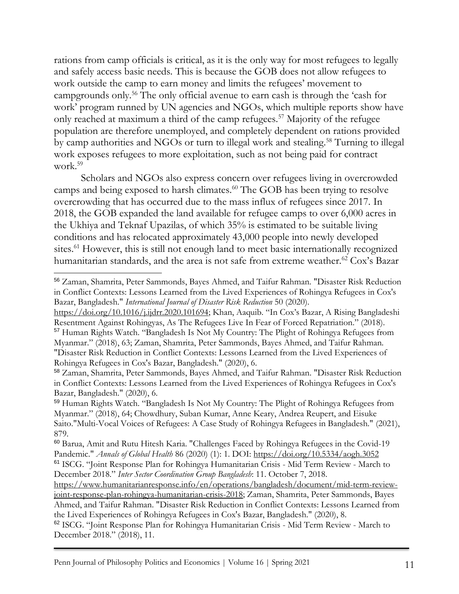rations from camp officials is critical, as it is the only way for most refugees to legally and safely access basic needs. This is because the GOB does not allow refugees to work outside the camp to earn money and limits the refugees' movement to campgrounds only.<sup>56</sup> The only official avenue to earn cash is through the 'cash for work' program runned by UN agencies and NGOs, which multiple reports show have only reached at maximum a third of the camp refugees.<sup>57</sup> Majority of the refugee population are therefore unemployed, and completely dependent on rations provided by camp authorities and NGOs or turn to illegal work and stealing.<sup>58</sup> Turning to illegal work exposes refugees to more exploitation, such as not being paid for contract work.<sup>59</sup>

Scholars and NGOs also express concern over refugees living in overcrowded camps and being exposed to harsh climates.<sup>60</sup> The GOB has been trying to resolve overcrowding that has occurred due to the mass influx of refugees since 2017. In 2018, the GOB expanded the land available for refugee camps to over 6,000 acres in the Ukhiya and Teknaf Upazilas, of which 35% is estimated to be suitable living conditions and has relocated approximately 43,000 people into newly developed sites.<sup>61</sup> However, this is still not enough land to meet basic internationally recognized humanitarian standards, and the area is not safe from extreme weather.<sup>62</sup> Cox's Bazar

<sup>56</sup> Zaman, Shamrita, Peter Sammonds, Bayes Ahmed, and Taifur Rahman. "Disaster Risk Reduction in Conflict Contexts: Lessons Learned from the Lived Experiences of Rohingya Refugees in Cox's Bazar, Bangladesh." *International Journal of Disaster Risk Reduction* 50 (2020).

[https://doi.org/10.1016/j.ijdrr.2020.101694](https://doi-org.proxy.library.upenn.edu/10.1016/j.ijdrr.2020.101694); Khan, Aaquib. "In Cox's Bazar, A Rising Bangladeshi Resentment Against Rohingyas, As The Refugees Live In Fear of Forced Repatriation." (2018). <sup>57</sup> Human Rights Watch. "Bangladesh Is Not My Country: The Plight of Rohingya Refugees from Myanmar." (2018), 63; Zaman, Shamrita, Peter Sammonds, Bayes Ahmed, and Taifur Rahman. "Disaster Risk Reduction in Conflict Contexts: Lessons Learned from the Lived Experiences of Rohingya Refugees in Cox's Bazar, Bangladesh." (2020), 6.

<sup>58</sup> Zaman, Shamrita, Peter Sammonds, Bayes Ahmed, and Taifur Rahman. "Disaster Risk Reduction in Conflict Contexts: Lessons Learned from the Lived Experiences of Rohingya Refugees in Cox's Bazar, Bangladesh." (2020), 6.

<sup>59</sup> Human Rights Watch. "Bangladesh Is Not My Country: The Plight of Rohingya Refugees from Myanmar." (2018), 64; Chowdhury, Suban Kumar, Anne Keary, Andrea Reupert, and Eisuke Saito."Multi-Vocal Voices of Refugees: A Case Study of Rohingya Refugees in Bangladesh." (2021), 879.

<sup>60</sup> Barua, Amit and Rutu Hitesh Karia. "Challenges Faced by Rohingya Refugees in the Covid-19 Pandemic." *Annals of Global Health* 86 (2020) (1): 1. DOI:<https://doi.org/10.5334/aogh.3052> <sup>61</sup> ISCG. "Joint Response Plan for Rohingya Humanitarian Crisis - Mid Term Review - March to December 2018." *Inter Sector Coordination Group Bangladesh*: 11. October 7, 2018.

[https://www.humanitarianresponse.info/en/operations/bangladesh/document/mid-term-review](https://www.humanitarianresponse.info/en/operations/bangladesh/document/mid-term-review-joint-response-plan-rohingya-humanitarian-crisis-2018)[joint-response-plan-rohingya-humanitarian-crisis-2018;](https://www.humanitarianresponse.info/en/operations/bangladesh/document/mid-term-review-joint-response-plan-rohingya-humanitarian-crisis-2018) Zaman, Shamrita, Peter Sammonds, Bayes Ahmed, and Taifur Rahman. "Disaster Risk Reduction in Conflict Contexts: Lessons Learned from

the Lived Experiences of Rohingya Refugees in Cox's Bazar, Bangladesh." (2020), 8.

<sup>62</sup> ISCG. "Joint Response Plan for Rohingya Humanitarian Crisis - Mid Term Review - March to December 2018." (2018), 11.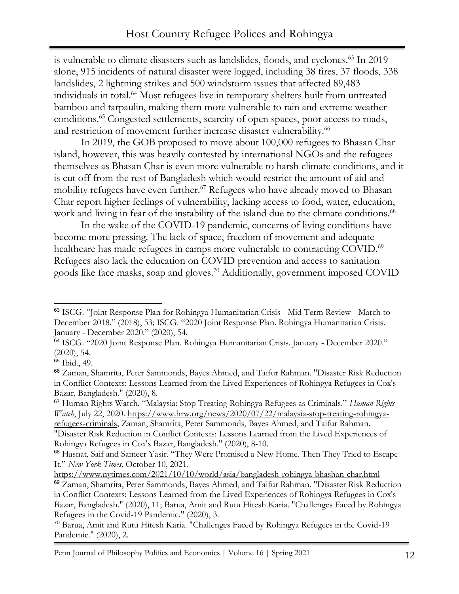is vulnerable to climate disasters such as landslides, floods, and cyclones.<sup>63</sup> In 2019 alone, 915 incidents of natural disaster were logged, including 38 fires, 37 floods, 338 landslides, 2 lightning strikes and 500 windstorm issues that affected 89,483 individuals in total.<sup>64</sup> Most refugees live in temporary shelters built from untreated bamboo and tarpaulin, making them more vulnerable to rain and extreme weather conditions.<sup>65</sup> Congested settlements, scarcity of open spaces, poor access to roads, and restriction of movement further increase disaster vulnerability.<sup>66</sup>

In 2019, the GOB proposed to move about 100,000 refugees to Bhasan Char island, however, this was heavily contested by international NGOs and the refugees themselves as Bhasan Char is even more vulnerable to harsh climate conditions, and it is cut off from the rest of Bangladesh which would restrict the amount of aid and mobility refugees have even further.<sup>67</sup> Refugees who have already moved to Bhasan Char report higher feelings of vulnerability, lacking access to food, water, education, work and living in fear of the instability of the island due to the climate conditions.<sup>68</sup>

In the wake of the COVID-19 pandemic, concerns of living conditions have become more pressing. The lack of space, freedom of movement and adequate healthcare has made refugees in camps more vulnerable to contracting COVID.<sup>69</sup> Refugees also lack the education on COVID prevention and access to sanitation goods like face masks, soap and gloves.<sup>70</sup> Additionally, government imposed COVID

<sup>63</sup> ISCG. "Joint Response Plan for Rohingya Humanitarian Crisis - Mid Term Review - March to December 2018." (2018), 53; ISCG. "2020 Joint Response Plan. Rohingya Humanitarian Crisis. January - December 2020." (2020), 54.

<sup>64</sup> ISCG. "2020 Joint Response Plan. Rohingya Humanitarian Crisis. January - December 2020." (2020), 54.

<sup>65</sup> Ibid., 49.

<sup>66</sup> Zaman, Shamrita, Peter Sammonds, Bayes Ahmed, and Taifur Rahman. "Disaster Risk Reduction in Conflict Contexts: Lessons Learned from the Lived Experiences of Rohingya Refugees in Cox's Bazar, Bangladesh." (2020), 8.

<sup>67</sup> Human Rights Watch. "Malaysia: Stop Treating Rohingya Refugees as Criminals." *Human Rights Watch*, July 22, 2020. [https://www.hrw.org/news/2020/07/22/malaysia-stop-treating-rohingya](https://www.hrw.org/news/2020/07/22/malaysia-stop-treating-rohingya-refugees-criminals)[refugees-criminals;](https://www.hrw.org/news/2020/07/22/malaysia-stop-treating-rohingya-refugees-criminals) Zaman, Shamrita, Peter Sammonds, Bayes Ahmed, and Taifur Rahman.

<sup>&</sup>quot;Disaster Risk Reduction in Conflict Contexts: Lessons Learned from the Lived Experiences of Rohingya Refugees in Cox's Bazar, Bangladesh." (2020), 8-10.

<sup>68</sup> Hasnat, Saif and Sameer Yasir. "They Were Promised a New Home. Then They Tried to Escape It." *New York Times,* October 10, 2021.

<https://www.nytimes.com/2021/10/10/world/asia/bangladesh-rohingya-bhashan-char.html>

<sup>69</sup> Zaman, Shamrita, Peter Sammonds, Bayes Ahmed, and Taifur Rahman. "Disaster Risk Reduction in Conflict Contexts: Lessons Learned from the Lived Experiences of Rohingya Refugees in Cox's Bazar, Bangladesh." (2020), 11; Barua, Amit and Rutu Hitesh Karia. "Challenges Faced by Rohingya Refugees in the Covid-19 Pandemic." (2020), 3.

<sup>70</sup> Barua, Amit and Rutu Hitesh Karia. "Challenges Faced by Rohingya Refugees in the Covid-19 Pandemic." (2020), 2.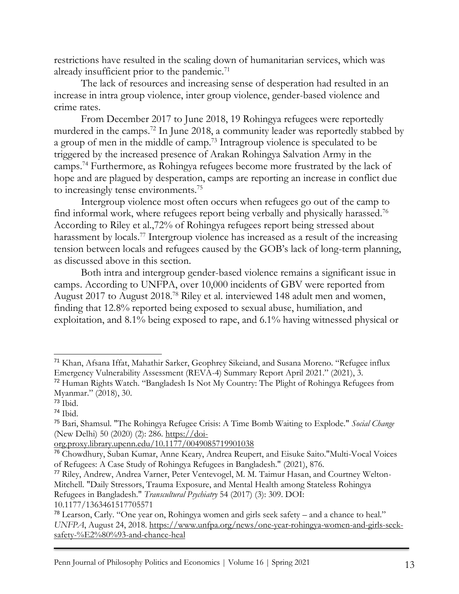restrictions have resulted in the scaling down of humanitarian services, which was already insufficient prior to the pandemic.<sup>71</sup>

The lack of resources and increasing sense of desperation had resulted in an increase in intra group violence, inter group violence, gender-based violence and crime rates.

From December 2017 to June 2018, 19 Rohingya refugees were reportedly murdered in the camps.<sup>72</sup> In June 2018, a community leader was reportedly stabbed by a group of men in the middle of camp.<sup>73</sup> Intragroup violence is speculated to be triggered by the increased presence of Arakan Rohingya Salvation Army in the camps.<sup>74</sup> Furthermore, as Rohingya refugees become more frustrated by the lack of hope and are plagued by desperation, camps are reporting an increase in conflict due to increasingly tense environments.<sup>75</sup>

Intergroup violence most often occurs when refugees go out of the camp to find informal work, where refugees report being verbally and physically harassed.<sup>76</sup> According to Riley et al.,72% of Rohingya refugees report being stressed about harassment by locals.<sup>77</sup> Intergroup violence has increased as a result of the increasing tension between locals and refugees caused by the GOB's lack of long-term planning, as discussed above in this section.

Both intra and intergroup gender-based violence remains a significant issue in camps. According to UNFPA, over 10,000 incidents of GBV were reported from August 2017 to August 2018.<sup>78</sup> Riley et al. interviewed 148 adult men and women, finding that 12.8% reported being exposed to sexual abuse, humiliation, and exploitation, and 8.1% being exposed to rape, and 6.1% having witnessed physical or

<sup>71</sup> Khan, Afsana Iffat, Mahathir Sarker, Geophrey Sikeiand, and Susana Moreno. "Refugee influx Emergency Vulnerability Assessment (REVA-4) Summary Report April 2021." (2021), 3.

<sup>72</sup> Human Rights Watch. "Bangladesh Is Not My Country: The Plight of Rohingya Refugees from Myanmar." (2018), 30.

<sup>73</sup> Ibid.

<sup>74</sup> Ibid.

<sup>75</sup> Bari, Shamsul. "The Rohingya Refugee Crisis: A Time Bomb Waiting to Explode." *Social Change* (New Delhi) 50 (2020) (2): 286. [https://doi-](https://doi-org.proxy.library.upenn.edu/10.1177%2F0049085719901038)

[org.proxy.library.upenn.edu/10.1177/0049085719901038](https://doi-org.proxy.library.upenn.edu/10.1177%2F0049085719901038)

<sup>76</sup> Chowdhury, Suban Kumar, Anne Keary, Andrea Reupert, and Eisuke Saito."Multi-Vocal Voices of Refugees: A Case Study of Rohingya Refugees in Bangladesh." (2021), 876.

<sup>77</sup> Riley, Andrew, Andrea Varner, Peter Ventevogel, M. M. Taimur Hasan, and Courtney Welton-Mitchell. "Daily Stressors, Trauma Exposure, and Mental Health among Stateless Rohingya Refugees in Bangladesh." *Transcultural Psychiatry* 54 (2017) (3): 309. DOI:

<sup>10.1177/1363461517705571</sup>

<sup>78</sup> Learson, Carly. "One year on, Rohingya women and girls seek safety – and a chance to heal." *UNFPA*, August 24, 2018. [https://www.unfpa.org/news/one-year-rohingya-women-and-girls-seek](https://www.unfpa.org/news/one-year-rohingya-women-and-girls-seek-safety-%E2%80%93-and-chance-heal)[safety-%E2%80%93-and-chance-heal](https://www.unfpa.org/news/one-year-rohingya-women-and-girls-seek-safety-%E2%80%93-and-chance-heal)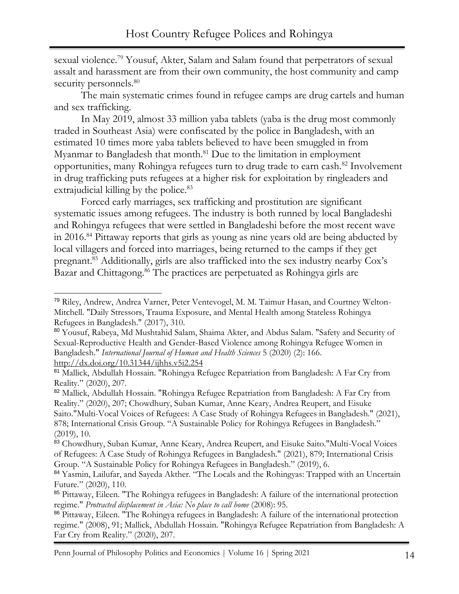sexual violence.<sup>79</sup> Yousuf, Akter, Salam and Salam found that perpetrators of sexual assalt and harassment are from their own community, the host community and camp security personnels.<sup>80</sup>

The main systematic crimes found in refugee camps are drug cartels and human and sex trafficking.

In May 2019, almost 33 million yaba tablets (yaba is the drug most commonly traded in Southeast Asia) were confiscated by the police in Bangladesh, with an estimated 10 times more yaba tablets believed to have been smuggled in from Myanmar to Bangladesh that month.<sup>81</sup> Due to the limitation in employment opportunities, many Rohingya refugees turn to drug trade to earn cash.<sup>82</sup> Involvement in drug trafficking puts refugees at a higher risk for exploitation by ringleaders and extrajudicial killing by the police.<sup>83</sup>

Forced early marriages, sex trafficking and prostitution are significant systematic issues among refugees. The industry is both runned by local Bangladeshi and Rohingya refugees that were settled in Bangladeshi before the most recent wave in 2016.<sup>84</sup> Pittaway reports that girls as young as nine years old are being abducted by local villagers and forced into marriages, being returned to the camps if they get pregnant.<sup>85</sup> Additionally, girls are also trafficked into the sex industry nearby Cox's Bazar and Chittagong.<sup>86</sup> The practices are perpetuated as Rohingya girls are

<sup>79</sup> Riley, Andrew, Andrea Varner, Peter Ventevogel, M. M. Taimur Hasan, and Courtney Welton-Mitchell. "Daily Stressors, Trauma Exposure, and Mental Health among Stateless Rohingya Refugees in Bangladesh." (2017), 310.

<sup>80</sup> Yousuf, Rabeya, Md Mushtahid Salam, Shaima Akter, and Abdus Salam. "Safety and Security of Sexual-Reproductive Health and Gender-Based Violence among Rohingya Refugee Women in Bangladesh." *International Journal of Human and Health Sciences* 5 (2020) (2): 166. <http://dx.doi.org/10.31344/ijhhs.v5i2.254>

<sup>81</sup> Mallick, Abdullah Hossain. "Rohingya Refugee Repatriation from Bangladesh: A Far Cry from Reality." (2020), 207.

<sup>&</sup>lt;sup>82</sup> Mallick, Abdullah Hossain. "Rohingya Refugee Repatriation from Bangladesh: A Far Cry from Reality." (2020), 207; Chowdhury, Suban Kumar, Anne Keary, Andrea Reupert, and Eisuke Saito."Multi-Vocal Voices of Refugees: A Case Study of Rohingya Refugees in Bangladesh." (2021), 878; International Crisis Group. "A Sustainable Policy for Rohingya Refugees in Bangladesh." (2019), 10.

<sup>83</sup> Chowdhury, Suban Kumar, Anne Keary, Andrea Reupert, and Eisuke Saito."Multi-Vocal Voices of Refugees: A Case Study of Rohingya Refugees in Bangladesh." (2021), 879; International Crisis Group. "A Sustainable Policy for Rohingya Refugees in Bangladesh." (2019), 6.

<sup>&</sup>lt;sup>84</sup> Yasmin, Lailufar, and Sayeda Akther. "The Locals and the Rohingyas: Trapped with an Uncertain Future." (2020), 110.

<sup>85</sup> Pittaway, Eileen. "The Rohingya refugees in Bangladesh: A failure of the international protection regime." *Protracted displacement in Asia: No place to call home* (2008): 95.

<sup>86</sup> Pittaway, Eileen. "The Rohingya refugees in Bangladesh: A failure of the international protection regime." (2008), 91; Mallick, Abdullah Hossain. "Rohingya Refugee Repatriation from Bangladesh: A Far Cry from Reality." (2020), 207.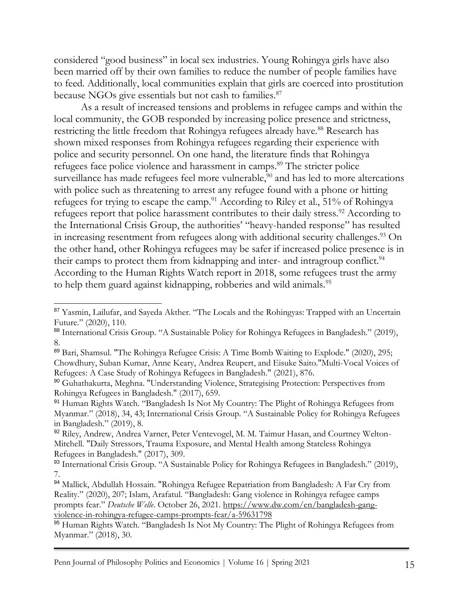considered "good business" in local sex industries. Young Rohingya girls have also been married off by their own families to reduce the number of people families have to feed. Additionally, local communities explain that girls are coerced into prostitution because NGOs give essentials but not cash to families.<sup>87</sup>

As a result of increased tensions and problems in refugee camps and within the local community, the GOB responded by increasing police presence and strictness, restricting the little freedom that Rohingya refugees already have.<sup>88</sup> Research has shown mixed responses from Rohingya refugees regarding their experience with police and security personnel. On one hand, the literature finds that Rohingya refugees face police violence and harassment in camps.<sup>89</sup> The stricter police surveillance has made refugees feel more vulnerable,<sup>90</sup> and has led to more altercations with police such as threatening to arrest any refugee found with a phone or hitting refugees for trying to escape the camp.<sup>91</sup> According to Riley et al., 51% of Rohingya refugees report that police harassment contributes to their daily stress.<sup>92</sup> According to the International Crisis Group, the authorities' "heavy-handed response" has resulted in increasing resentment from refugees along with additional security challenges.<sup>93</sup> On the other hand, other Rohingya refugees may be safer if increased police presence is in their camps to protect them from kidnapping and inter- and intragroup conflict.<sup>94</sup> According to the Human Rights Watch report in 2018, some refugees trust the army to help them guard against kidnapping, robberies and wild animals.<sup>95</sup>

<sup>&</sup>lt;sup>87</sup> Yasmin, Lailufar, and Sayeda Akther. "The Locals and the Rohingyas: Trapped with an Uncertain Future." (2020), 110.

<sup>88</sup> International Crisis Group. "A Sustainable Policy for Rohingya Refugees in Bangladesh." (2019), 8.

<sup>89</sup> Bari, Shamsul. "The Rohingya Refugee Crisis: A Time Bomb Waiting to Explode." (2020), 295; Chowdhury, Suban Kumar, Anne Keary, Andrea Reupert, and Eisuke Saito."Multi-Vocal Voices of Refugees: A Case Study of Rohingya Refugees in Bangladesh." (2021), 876.

<sup>90</sup> Guhathakurta, Meghna. "Understanding Violence, Strategising Protection: Perspectives from Rohingya Refugees in Bangladesh." (2017), 659.

<sup>&</sup>lt;sup>91</sup> Human Rights Watch. "Bangladesh Is Not My Country: The Plight of Rohingya Refugees from Myanmar." (2018), 34, 43; International Crisis Group. "A Sustainable Policy for Rohingya Refugees in Bangladesh." (2019), 8.

<sup>92</sup> Riley, Andrew, Andrea Varner, Peter Ventevogel, M. M. Taimur Hasan, and Courtney Welton-Mitchell. "Daily Stressors, Trauma Exposure, and Mental Health among Stateless Rohingya Refugees in Bangladesh." (2017), 309.

<sup>93</sup> International Crisis Group. "A Sustainable Policy for Rohingya Refugees in Bangladesh." (2019), 7.

<sup>94</sup> Mallick, Abdullah Hossain. "Rohingya Refugee Repatriation from Bangladesh: A Far Cry from Reality." (2020), 207; Islam, Arafatul. "Bangladesh: Gang violence in Rohingya refugee camps prompts fear." *Deutsche Welle.* October 26, 2021. [https://www.dw.com/en/bangladesh-gang](https://www.dw.com/en/bangladesh-gang-violence-in-rohingya-refugee-camps-prompts-fear/a-59631798)[violence-in-rohingya-refugee-camps-prompts-fear/a-59631798](https://www.dw.com/en/bangladesh-gang-violence-in-rohingya-refugee-camps-prompts-fear/a-59631798)

<sup>95</sup> Human Rights Watch. "Bangladesh Is Not My Country: The Plight of Rohingya Refugees from Myanmar." (2018), 30.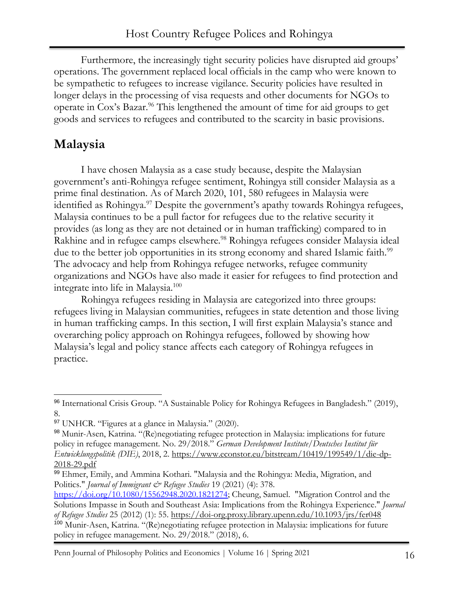Furthermore, the increasingly tight security policies have disrupted aid groups' operations. The government replaced local officials in the camp who were known to be sympathetic to refugees to increase vigilance. Security policies have resulted in longer delays in the processing of visa requests and other documents for NGOs to operate in Cox's Bazar.<sup>96</sup> This lengthened the amount of time for aid groups to get goods and services to refugees and contributed to the scarcity in basic provisions.

### **Malaysia**

I have chosen Malaysia as a case study because, despite the Malaysian government's anti-Rohingya refugee sentiment, Rohingya still consider Malaysia as a prime final destination. As of March 2020, 101, 580 refugees in Malaysia were identified as Rohingya.<sup>97</sup> Despite the government's apathy towards Rohingya refugees, Malaysia continues to be a pull factor for refugees due to the relative security it provides (as long as they are not detained or in human trafficking) compared to in Rakhine and in refugee camps elsewhere.<sup>98</sup> Rohingya refugees consider Malaysia ideal due to the better job opportunities in its strong economy and shared Islamic faith.<sup>99</sup> The advocacy and help from Rohingya refugee networks, refugee community organizations and NGOs have also made it easier for refugees to find protection and integrate into life in Malaysia.<sup>100</sup>

Rohingya refugees residing in Malaysia are categorized into three groups: refugees living in Malaysian communities, refugees in state detention and those living in human trafficking camps. In this section, I will first explain Malaysia's stance and overarching policy approach on Rohingya refugees, followed by showing how Malaysia's legal and policy stance affects each category of Rohingya refugees in practice.

Penn Journal of Philosophy Politics and Economics | Volume 16 | Spring 2021 16

<sup>96</sup> International Crisis Group. "A Sustainable Policy for Rohingya Refugees in Bangladesh." (2019), 8.

<sup>97</sup> UNHCR. "Figures at a glance in Malaysia." (2020).

<sup>98</sup> Munir-Asen, Katrina. "(Re)negotiating refugee protection in Malaysia: implications for future policy in refugee management. No. 29/2018." *German Development Institute/Deutsches Institut für Entwicklungspolitik (DIE)*, 2018, 2. [https://www.econstor.eu/bitstream/10419/199549/1/die-dp-](https://www.econstor.eu/bitstream/10419/199549/1/die-dp-2018-29.pdf)[2018-29.pdf](https://www.econstor.eu/bitstream/10419/199549/1/die-dp-2018-29.pdf)

<sup>99</sup> Ehmer, Emily, and Ammina Kothari. "Malaysia and the Rohingya: Media, Migration, and Politics." *Journal of Immigrant & Refugee Studies* 19 (2021) (4): 378.

[https://doi.org/10.1080/15562948.2020.1821274;](https://doi.org/10.1080/15562948.2020.1821274) Cheung, Samuel. "Migration Control and the Solutions Impasse in South and Southeast Asia: Implications from the Rohingya Experience." *Journal of Refugee Studies* 25 (2012) (1): 55.<https://doi-org.proxy.library.upenn.edu/10.1093/jrs/fer048> <sup>100</sup> Munir-Asen, Katrina. "(Re)negotiating refugee protection in Malaysia: implications for future policy in refugee management. No. 29/2018." (2018), 6.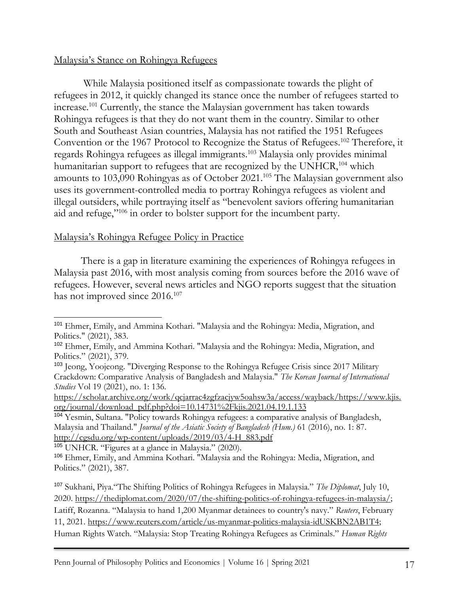#### Malaysia's Stance on Rohingya Refugees

While Malaysia positioned itself as compassionate towards the plight of refugees in 2012, it quickly changed its stance once the number of refugees started to increase.<sup>101</sup> Currently, the stance the Malaysian government has taken towards Rohingya refugees is that they do not want them in the country. Similar to other South and Southeast Asian countries, Malaysia has not ratified the 1951 Refugees Convention or the 1967 Protocol to Recognize the Status of Refugees.<sup>102</sup> Therefore, it regards Rohingya refugees as illegal immigrants.<sup>103</sup> Malaysia only provides minimal humanitarian support to refugees that are recognized by the UNHCR,<sup>104</sup> which amounts to 103,090 Rohingyas as of October 2021.<sup>105</sup> The Malaysian government also uses its government-controlled media to portray Rohingya refugees as violent and illegal outsiders, while portraying itself as "benevolent saviors offering humanitarian aid and refuge,"<sup>106</sup> in order to bolster support for the incumbent party.

#### Malaysia's Rohingya Refugee Policy in Practice

There is a gap in literature examining the experiences of Rohingya refugees in Malaysia past 2016, with most analysis coming from sources before the 2016 wave of refugees. However, several news articles and NGO reports suggest that the situation has not improved since 2016.<sup>107</sup>

<sup>105</sup> UNHCR. "Figures at a glance in Malaysia." (2020).

<sup>101</sup> Ehmer, Emily, and Ammina Kothari. "Malaysia and the Rohingya: Media, Migration, and Politics." (2021), 383.

<sup>102</sup> Ehmer, Emily, and Ammina Kothari. "Malaysia and the Rohingya: Media, Migration, and Politics." (2021), 379.

<sup>103</sup> Jeong, Yoojeong. "Diverging Response to the Rohingya Refugee Crisis since 2017 Military Crackdown: Comparative Analysis of Bangladesh and Malaysia." *The Korean Journal of International Studies* Vol 19 (2021), no. 1: 136.

[https://scholar.archive.org/work/qcjarrac4zgfzacjyw5oahsw3a/access/wayback/https://www.kjis.](https://scholar.archive.org/work/qcjarrac4zgfzacjyw5oahsw3a/access/wayback/https:/www.kjis.org/journal/download_pdf.php?doi=10.14731%2Fkjis.2021.04.19.1.133) [org/journal/download\\_pdf.php?doi=10.14731%2Fkjis.2021.04.19.1.133](https://scholar.archive.org/work/qcjarrac4zgfzacjyw5oahsw3a/access/wayback/https:/www.kjis.org/journal/download_pdf.php?doi=10.14731%2Fkjis.2021.04.19.1.133)

<sup>104</sup> Yesmin, Sultana. "Policy towards Rohingya refugees: a comparative analysis of Bangladesh, Malaysia and Thailand." *Journal of the Asiatic Society of Bangladesh (Hum.)* 61 (2016), no. 1: 87. [http://cgsdu.org/wp-content/uploads/2019/03/4-H\\_883.pdf](http://cgsdu.org/wp-content/uploads/2019/03/4-H_883.pdf)

<sup>106</sup> Ehmer, Emily, and Ammina Kothari. "Malaysia and the Rohingya: Media, Migration, and Politics." (2021), 387.

<sup>107</sup> Sukhani, Piya."The Shifting Politics of Rohingya Refugees in Malaysia." *The Diplomat*, July 10, 2020. [https://thediplomat.com/2020/07/the-shifting-politics-of-rohingya-refugees-in-malaysia/;](https://thediplomat.com/2020/07/the-shifting-politics-of-rohingya-refugees-in-malaysia/) Latiff, Rozanna. "Malaysia to hand 1,200 Myanmar detainees to country's navy." *Reuters*, February 11, 2021. [https://www.reuters.com/article/us-myanmar-politics-malaysia-idUSKBN2AB1T4;](https://www.reuters.com/article/us-myanmar-politics-malaysia-idUSKBN2AB1T4) Human Rights Watch. "Malaysia: Stop Treating Rohingya Refugees as Criminals." *Human Rights*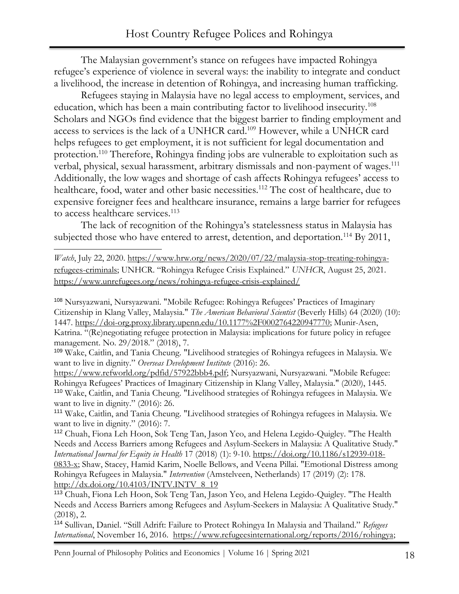The Malaysian government's stance on refugees have impacted Rohingya refugee's experience of violence in several ways: the inability to integrate and conduct a livelihood, the increase in detention of Rohingya, and increasing human trafficking.

Refugees staying in Malaysia have no legal access to employment, services, and education, which has been a main contributing factor to livelihood insecurity.<sup>108</sup> Scholars and NGOs find evidence that the biggest barrier to finding employment and access to services is the lack of a UNHCR card.<sup>109</sup> However, while a UNHCR card helps refugees to get employment, it is not sufficient for legal documentation and protection.<sup>110</sup> Therefore, Rohingya finding jobs are vulnerable to exploitation such as verbal, physical, sexual harassment, arbitrary dismissals and non-payment of wages.<sup>111</sup> Additionally, the low wages and shortage of cash affects Rohingya refugees' access to healthcare, food, water and other basic necessities.<sup>112</sup> The cost of healthcare, due to expensive foreigner fees and healthcare insurance, remains a large barrier for refugees to access healthcare services.<sup>113</sup>

The lack of recognition of the Rohingya's statelessness status in Malaysia has subjected those who have entered to arrest, detention, and deportation.<sup>114</sup> By 2011,

*Watch*, July 22, 2020. [https://www.hrw.org/news/2020/07/22/malaysia-stop-treating-rohingya](https://www.hrw.org/news/2020/07/22/malaysia-stop-treating-rohingya-refugees-criminals)[refugees-criminals](https://www.hrw.org/news/2020/07/22/malaysia-stop-treating-rohingya-refugees-criminals); UNHCR. "Rohingya Refugee Crisis Explained." *UNHCR*, August 25, 2021. <https://www.unrefugees.org/news/rohingya-refugee-crisis-explained/>

<sup>108</sup> Nursyazwani, Nursyazwani. "Mobile Refugee: Rohingya Refugees' Practices of Imaginary Citizenship in Klang Valley, Malaysia." *The American Behavioral Scientist* (Beverly Hills) 64 (2020) (10): 1447. [https://doi-org.proxy.library.upenn.edu/10.1177%2F0002764220947770;](https://doi-org.proxy.library.upenn.edu/10.1177%2F0002764220947770) Munir-Asen, Katrina. "(Re)negotiating refugee protection in Malaysia: implications for future policy in refugee management. No. 29/2018." (2018), 7.

<sup>109</sup> Wake, Caitlin, and Tania Cheung. "Livelihood strategies of Rohingya refugees in Malaysia. We want to live in dignity." *Overseas Development Institute* (2016): 26.

[https://www.refworld.org/pdfid/57922bbb4.pdf;](https://www.refworld.org/pdfid/57922bbb4.pdf) Nursyazwani, Nursyazwani. "Mobile Refugee: Rohingya Refugees' Practices of Imaginary Citizenship in Klang Valley, Malaysia." (2020), 1445. <sup>110</sup> Wake, Caitlin, and Tania Cheung. "Livelihood strategies of Rohingya refugees in Malaysia. We want to live in dignity." (2016): 26.

<sup>111</sup> Wake, Caitlin, and Tania Cheung. "Livelihood strategies of Rohingya refugees in Malaysia. We want to live in dignity." (2016): 7.

<sup>112</sup> Chuah, Fiona Leh Hoon, Sok Teng Tan, Jason Yeo, and Helena Legido-Quigley. "The Health Needs and Access Barriers among Refugees and Asylum-Seekers in Malaysia: A Qualitative Study." *International Journal for Equity in Health* 17 (2018) (1): 9-10. [https://doi.org/10.1186/s12939-018-](https://doi.org/10.1186/s12939-018-0833-x) [0833-x;](https://doi.org/10.1186/s12939-018-0833-x) Shaw, Stacey, Hamid Karim, Noelle Bellows, and Veena Pillai. "Emotional Distress among Rohingya Refugees in Malaysia." *Intervention* (Amstelveen, Netherlands) 17 (2019) (2): 178. [http://dx.doi.org/10.4103/INTV.INTV\\_8\\_19](http://dx.doi.org/10.4103/INTV.INTV_8_19)

<sup>113</sup> Chuah, Fiona Leh Hoon, Sok Teng Tan, Jason Yeo, and Helena Legido-Quigley. "The Health Needs and Access Barriers among Refugees and Asylum-Seekers in Malaysia: A Qualitative Study." (2018), 2.

<sup>114</sup> Sullivan, Daniel. "Still Adrift: Failure to Protect Rohingya In Malaysia and Thailand." *Refugees International*, November 16, 2016. [https://www.refugeesinternational.org/reports/2016/rohingya;](https://www.refugeesinternational.org/reports/2016/rohingya)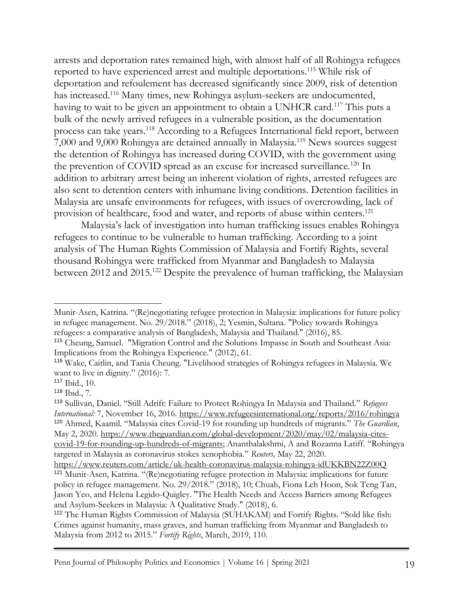arrests and deportation rates remained high, with almost half of all Rohingya refugees reported to have experienced arrest and multiple deportations.<sup>115</sup> While risk of deportation and refoulement has decreased significantly since 2009, risk of detention has increased.<sup>116</sup> Many times, new Rohingya asylum-seekers are undocumented, having to wait to be given an appointment to obtain a UNHCR card.<sup>117</sup> This puts a bulk of the newly arrived refugees in a vulnerable position, as the documentation process can take years.<sup>118</sup> According to a Refugees International field report, between 7,000 and 9,000 Rohingya are detained annually in Malaysia.<sup>119</sup> News sources suggest the detention of Rohingya has increased during COVID, with the government using the prevention of COVID spread as an excuse for increased surveillance.<sup>120</sup> In addition to arbitrary arrest being an inherent violation of rights, arrested refugees are also sent to detention centers with inhumane living conditions. Detention facilities in Malaysia are unsafe environments for refugees, with issues of overcrowding, lack of provision of healthcare, food and water, and reports of abuse within centers.<sup>121</sup>

Malaysia's lack of investigation into human trafficking issues enables Rohingya refugees to continue to be vulnerable to human trafficking. According to a joint analysis of The Human Rights Commission of Malaysia and Fortify Rights, several thousand Rohingya were trafficked from Myanmar and Bangladesh to Malaysia between 2012 and 2015.<sup>122</sup> Despite the prevalence of human trafficking, the Malaysian

Munir-Asen, Katrina. "(Re)negotiating refugee protection in Malaysia: implications for future policy in refugee management. No. 29/2018." (2018), 2; Yesmin, Sultana. "Policy towards Rohingya refugees: a comparative analysis of Bangladesh, Malaysia and Thailand." (2016), 85.

<sup>115</sup> Cheung, Samuel. "Migration Control and the Solutions Impasse in South and Southeast Asia: Implications from the Rohingya Experience." (2012), 61.

<sup>116</sup> Wake, Caitlin, and Tania Cheung. "Livelihood strategies of Rohingya refugees in Malaysia. We want to live in dignity." (2016): 7.

<sup>117</sup> Ibid., 10.

<sup>118</sup> Ibid., 7.

<sup>119</sup> Sullivan, Daniel. "Still Adrift: Failure to Protect Rohingya In Malaysia and Thailand." *Refugees International:* 7, November 16, 2016.<https://www.refugeesinternational.org/reports/2016/rohingya> <sup>120</sup> Ahmed, Kaamil. "Malaysia cites Covid-19 for rounding up hundreds of migrants." *The Guardian*, May 2, 2020. [https://www.theguardian.com/global-development/2020/may/02/malaysia-cites](https://www.theguardian.com/global-development/2020/may/02/malaysia-cites-covid-19-for-rounding-up-hundreds-of-migrants)[covid-19-for-rounding-up-hundreds-of-migrants;](https://www.theguardian.com/global-development/2020/may/02/malaysia-cites-covid-19-for-rounding-up-hundreds-of-migrants) [Ananthalakshmi,](https://www.reuters.com/journalists/a-ananthalakshmi) A and [Rozanna Latiff](https://www.reuters.com/journalists/rozanna-latiff). "Rohingya targeted in Malaysia as coronavirus stokes xenophobia." *Reuters,* May 22, 2020. <https://www.reuters.com/article/uk-health-coronavirus-malaysia-rohingya-idUKKBN22Z00Q>

<sup>121</sup> Munir-Asen, Katrina. "(Re)negotiating refugee protection in Malaysia: implications for future policy in refugee management. No. 29/2018." (2018), 10; Chuah, Fiona Leh Hoon, Sok Teng Tan, Jason Yeo, and Helena Legido-Quigley. "The Health Needs and Access Barriers among Refugees and Asylum-Seekers in Malaysia: A Qualitative Study." (2018), 6.

<sup>122</sup> The Human Rights Commission of Malaysia (SUHAKAM) and Fortify Rights. "Sold like fish: Crimes against humanity, mass graves, and human trafficking from Myanmar and Bangladesh to Malaysia from 2012 to 2015." *Fortify Rights*, March, 2019, 110.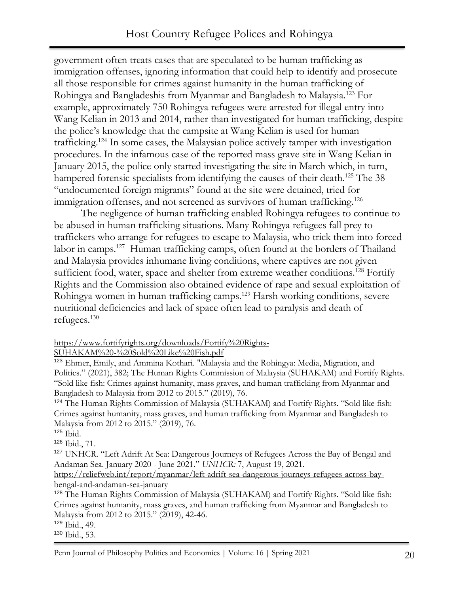government often treats cases that are speculated to be human trafficking as immigration offenses, ignoring information that could help to identify and prosecute all those responsible for crimes against humanity in the human trafficking of Rohingya and Bangladeshis from Myanmar and Bangladesh to Malaysia.<sup>123</sup> For example, approximately 750 Rohingya refugees were arrested for illegal entry into Wang Kelian in 2013 and 2014, rather than investigated for human trafficking, despite the police's knowledge that the campsite at Wang Kelian is used for human trafficking.<sup>124</sup> In some cases, the Malaysian police actively tamper with investigation procedures. In the infamous case of the reported mass grave site in Wang Kelian in January 2015, the police only started investigating the site in March which, in turn, hampered forensic specialists from identifying the causes of their death.<sup>125</sup> The 38 "undocumented foreign migrants" found at the site were detained, tried for immigration offenses, and not screened as survivors of human trafficking.<sup>126</sup>

The negligence of human trafficking enabled Rohingya refugees to continue to be abused in human trafficking situations. Many Rohingya refugees fall prey to traffickers who arrange for refugees to escape to Malaysia, who trick them into forced labor in camps.<sup>127</sup> Human trafficking camps, often found at the borders of Thailand and Malaysia provides inhumane living conditions, where captives are not given sufficient food, water, space and shelter from extreme weather conditions.<sup>128</sup> Fortify Rights and the Commission also obtained evidence of rape and sexual exploitation of Rohingya women in human trafficking camps.<sup>129</sup> Harsh working conditions, severe nutritional deficiencies and lack of space often lead to paralysis and death of refugees.<sup>130</sup>

[SUHAKAM%20-%20Sold%20Like%20Fish.pdf](https://www.fortifyrights.org/downloads/Fortify%20Rights-SUHAKAM%20-%20Sold%20Like%20Fish.pdf)

[https://www.fortifyrights.org/downloads/Fortify%20Rights-](https://www.fortifyrights.org/downloads/Fortify%20Rights-SUHAKAM%20-%20Sold%20Like%20Fish.pdf)

<sup>123</sup> Ehmer, Emily, and Ammina Kothari. "Malaysia and the Rohingya: Media, Migration, and Politics." (2021), 382; The Human Rights Commission of Malaysia (SUHAKAM) and Fortify Rights. "Sold like fish: Crimes against humanity, mass graves, and human trafficking from Myanmar and Bangladesh to Malaysia from 2012 to 2015." (2019), 76.

<sup>124</sup> The Human Rights Commission of Malaysia (SUHAKAM) and Fortify Rights. "Sold like fish: Crimes against humanity, mass graves, and human trafficking from Myanmar and Bangladesh to Malaysia from 2012 to 2015." (2019), 76.

<sup>125</sup> Ibid.

<sup>126</sup> Ibid., 71.

<sup>&</sup>lt;sup>127</sup> UNHCR. "Left Adrift At Sea: Dangerous Journeys of Refugees Across the Bay of Bengal and Andaman Sea. January 2020 - June 2021." *UNHCR:* 7, August 19, 2021.

[https://reliefweb.int/report/myanmar/left-adrift-sea-dangerous-journeys-refugees-across-bay](https://reliefweb.int/report/myanmar/left-adrift-sea-dangerous-journeys-refugees-across-bay-bengal-and-andaman-sea-january)[bengal-and-andaman-sea-january](https://reliefweb.int/report/myanmar/left-adrift-sea-dangerous-journeys-refugees-across-bay-bengal-and-andaman-sea-january)

<sup>128</sup> The Human Rights Commission of Malaysia (SUHAKAM) and Fortify Rights. "Sold like fish: Crimes against humanity, mass graves, and human trafficking from Myanmar and Bangladesh to Malaysia from 2012 to 2015." (2019), 42-46.

<sup>129</sup> Ibid., 49.

<sup>130</sup> Ibid., 53.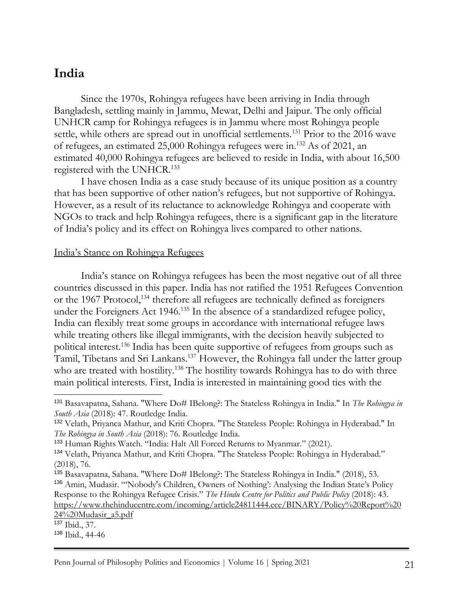### **India**

Since the 1970s, Rohingya refugees have been arriving in India through Bangladesh, settling mainly in Jammu, Mewat, Delhi and Jaipur. The only official UNHCR camp for Rohingya refugees is in Jammu where most Rohingya people settle, while others are spread out in unofficial settlements.<sup>131</sup> Prior to the 2016 wave of refugees, an estimated 25,000 Rohingya refugees were in.<sup>132</sup> As of 2021, an estimated 40,000 Rohingya refugees are believed to reside in India, with about 16,500 registered with the UNHCR.<sup>133</sup>

I have chosen India as a case study because of its unique position as a country that has been supportive of other nation's refugees, but not supportive of Rohingya. However, as a result of its reluctance to acknowledge Rohingya and cooperate with NGOs to track and help Rohingya refugees, there is a significant gap in the literature of India's policy and its effect on Rohingya lives compared to other nations.

#### India's Stance on Rohingya Refugees

India's stance on Rohingya refugees has been the most negative out of all three countries discussed in this paper. India has not ratified the 1951 Refugees Convention or the 1967 Protocol,<sup>134</sup> therefore all refugees are technically defined as foreigners under the Foreigners Act 1946.<sup>135</sup> In the absence of a standardized refugee policy, India can flexibly treat some groups in accordance with international refugee laws while treating others like illegal immigrants, with the decision heavily subjected to political interest.<sup>136</sup> India has been quite supportive of refugees from groups such as Tamil, Tibetans and Sri Lankans.<sup>137</sup> However, the Rohingya fall under the latter group who are treated with hostility.<sup>138</sup> The hostility towards Rohingya has to do with three main political interests. First, India is interested in maintaining good ties with the

<sup>131</sup> Basavapatna, Sahana. "Where Do# IBelong?: The Stateless Rohingya in India." In *The Rohingya in South Asia* (2018): 47. Routledge India.

<sup>132</sup> Velath, Priyanca Mathur, and Kriti Chopra. "The Stateless People: Rohingya in Hyderabad." In *The Rohingya in South Asia* (2018): 76. Routledge India.

<sup>133</sup> Human Rights Watch. "India: Halt All Forced Returns to Myanmar." (2021).

<sup>134</sup> Velath, Priyanca Mathur, and Kriti Chopra. "The Stateless People: Rohingya in Hyderabad." (2018), 76.

<sup>135</sup> Basavapatna, Sahana. "Where Do# IBelong?: The Stateless Rohingya in India." (2018), 53. <sup>136</sup> Amin, Mudasir. "'Nobody's Children, Owners of Nothing': Analysing the Indian State's Policy Response to the Rohingya Refugee Crisis." *The Hindu Centre for Politics and Public Policy* (2018): 43. [https://www.thehinducentre.com/incoming/article24811444.ece/BINARY/Policy%20Report%20](https://www.thehinducentre.com/incoming/article24811444.ece/BINARY/Policy%20Report%2024%20Mudasir_a5.pdf) [24%20Mudasir\\_a5.pdf](https://www.thehinducentre.com/incoming/article24811444.ece/BINARY/Policy%20Report%2024%20Mudasir_a5.pdf)

<sup>137</sup> Ibid., 37.

<sup>138</sup> Ibid., 44-46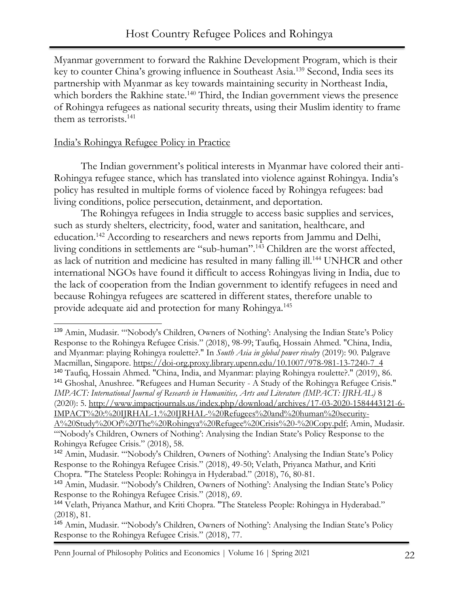Myanmar government to forward the Rakhine Development Program, which is their key to counter China's growing influence in Southeast Asia.<sup>139</sup> Second, India sees its partnership with Myanmar as key towards maintaining security in Northeast India, which borders the Rakhine state.<sup>140</sup> Third, the Indian government views the presence of Rohingya refugees as national security threats, using their Muslim identity to frame them as terrorists.<sup>141</sup>

#### India's Rohingya Refugee Policy in Practice

The Indian government's political interests in Myanmar have colored their anti-Rohingya refugee stance, which has translated into violence against Rohingya. India's policy has resulted in multiple forms of violence faced by Rohingya refugees: bad living conditions, police persecution, detainment, and deportation.

The Rohingya refugees in India struggle to access basic supplies and services, such as sturdy shelters, electricity, food, water and sanitation, healthcare, and education.<sup>142</sup> According to researchers and news reports from Jammu and Delhi, living conditions in settlements are "sub-human".<sup>143</sup> Children are the worst affected, as lack of nutrition and medicine has resulted in many falling ill.<sup>144</sup> UNHCR and other international NGOs have found it difficult to access Rohingyas living in India, due to the lack of cooperation from the Indian government to identify refugees in need and because Rohingya refugees are scattered in different states, therefore unable to provide adequate aid and protection for many Rohingya.<sup>145</sup>

<sup>139</sup> Amin, Mudasir. "'Nobody's Children, Owners of Nothing': Analysing the Indian State's Policy Response to the Rohingya Refugee Crisis." (2018), 98-99; Taufiq, Hossain Ahmed. "China, India, and Myanmar: playing Rohingya roulette?." In *South Asia in global power rivalry* (2019): 90. Palgrave Macmillan, Singapore. [https://doi-org.proxy.library.upenn.edu/10.1007/978-981-13-7240-7\\_4](https://doi-org.proxy.library.upenn.edu/10.1007/978-981-13-7240-7_4) <sup>140</sup> Taufiq, Hossain Ahmed. "China, India, and Myanmar: playing Rohingya roulette?." (2019), 86. <sup>141</sup> Ghoshal, Anushree. "Refugees and Human Security - A Study of the Rohingya Refugee Crisis." *IMPACT: International Journal of Research in Humanities, Arts and Literature (IMPACT: IJRHAL)* 8 (2020): 5. [http://www.impactjournals.us/index.php/download/archives/17-03-2020-1584443121-6-](http://www.impactjournals.us/index.php/download/archives/17-03-2020-1584443121-6-IMPACT%20:%20IJRHAL-1.%20IJRHAL-%20Refugees%20and%20human%20security-A%20Study%20Of%20The%20Rohingya%20Refugee%20Crisis%20-%20Copy.pdf) [IMPACT%20:%20IJRHAL-1.%20IJRHAL-%20Refugees%20and%20human%20security-](http://www.impactjournals.us/index.php/download/archives/17-03-2020-1584443121-6-IMPACT%20:%20IJRHAL-1.%20IJRHAL-%20Refugees%20and%20human%20security-A%20Study%20Of%20The%20Rohingya%20Refugee%20Crisis%20-%20Copy.pdf)[A%20Study%20Of%20The%20Rohingya%20Refugee%20Crisis%20-%20Copy.pdf;](http://www.impactjournals.us/index.php/download/archives/17-03-2020-1584443121-6-IMPACT%20:%20IJRHAL-1.%20IJRHAL-%20Refugees%20and%20human%20security-A%20Study%20Of%20The%20Rohingya%20Refugee%20Crisis%20-%20Copy.pdf) Amin, Mudasir. "'Nobody's Children, Owners of Nothing': Analysing the Indian State's Policy Response to the Rohingya Refugee Crisis." (2018), 58.

<sup>142</sup> Amin, Mudasir. "'Nobody's Children, Owners of Nothing': Analysing the Indian State's Policy Response to the Rohingya Refugee Crisis." (2018), 49-50; Velath, Priyanca Mathur, and Kriti Chopra. "The Stateless People: Rohingya in Hyderabad." (2018), 76, 80-81.

<sup>143</sup> Amin, Mudasir. "'Nobody's Children, Owners of Nothing': Analysing the Indian State's Policy Response to the Rohingya Refugee Crisis." (2018), 69.

<sup>144</sup> Velath, Priyanca Mathur, and Kriti Chopra. "The Stateless People: Rohingya in Hyderabad." (2018), 81.

<sup>145</sup> Amin, Mudasir. "'Nobody's Children, Owners of Nothing': Analysing the Indian State's Policy Response to the Rohingya Refugee Crisis." (2018), 77.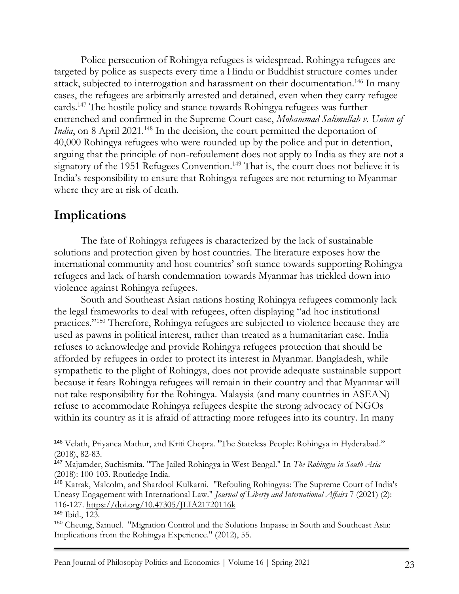Police persecution of Rohingya refugees is widespread. Rohingya refugees are targeted by police as suspects every time a Hindu or Buddhist structure comes under attack, subjected to interrogation and harassment on their documentation.<sup>146</sup> In many cases, the refugees are arbitrarily arrested and detained, even when they carry refugee cards.<sup>147</sup> The hostile policy and stance towards Rohingya refugees was further entrenched and confirmed in the Supreme Court case, *Mohammad Salimullah v. Union of India*, on 8 April 2021.<sup>148</sup> In the decision, the court permitted the deportation of 40,000 Rohingya refugees who were rounded up by the police and put in detention, arguing that the principle of non-refoulement does not apply to India as they are not a signatory of the 1951 Refugees Convention.<sup>149</sup> That is, the court does not believe it is India's responsibility to ensure that Rohingya refugees are not returning to Myanmar where they are at risk of death.

### **Implications**

The fate of Rohingya refugees is characterized by the lack of sustainable solutions and protection given by host countries. The literature exposes how the international community and host countries' soft stance towards supporting Rohingya refugees and lack of harsh condemnation towards Myanmar has trickled down into violence against Rohingya refugees.

South and Southeast Asian nations hosting Rohingya refugees commonly lack the legal frameworks to deal with refugees, often displaying "ad hoc institutional practices."<sup>150</sup> Therefore, Rohingya refugees are subjected to violence because they are used as pawns in political interest, rather than treated as a humanitarian case. India refuses to acknowledge and provide Rohingya refugees protection that should be afforded by refugees in order to protect its interest in Myanmar. Bangladesh, while sympathetic to the plight of Rohingya, does not provide adequate sustainable support because it fears Rohingya refugees will remain in their country and that Myanmar will not take responsibility for the Rohingya. Malaysia (and many countries in ASEAN) refuse to accommodate Rohingya refugees despite the strong advocacy of NGOs within its country as it is afraid of attracting more refugees into its country. In many

<sup>146</sup> Velath, Priyanca Mathur, and Kriti Chopra. "The Stateless People: Rohingya in Hyderabad." (2018), 82-83.

<sup>147</sup> Majumder, Suchismita. "The Jailed Rohingya in West Bengal." In *The Rohingya in South Asia*  (2018): 100-103. Routledge India.

<sup>148</sup> Katrak, Malcolm, and Shardool Kulkarni. "Refouling Rohingyas: The Supreme Court of India's Uneasy Engagement with International Law." *Journal of Liberty and International Affairs* 7 (2021) (2): 116-127.<https://doi.org/10.47305/JLIA21720116k>

<sup>149</sup> Ibid., 123.

<sup>150</sup> Cheung, Samuel. "Migration Control and the Solutions Impasse in South and Southeast Asia: Implications from the Rohingya Experience." (2012), 55.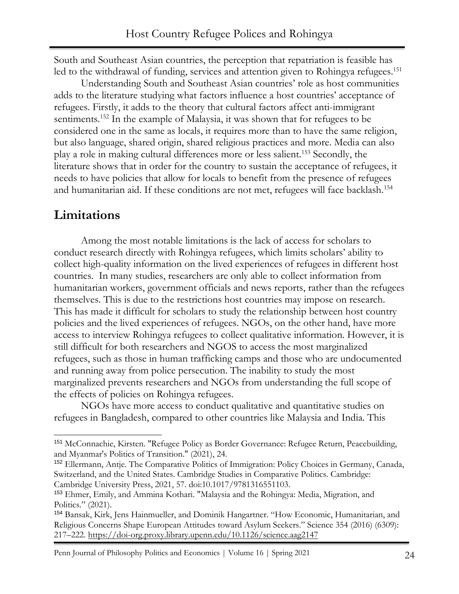South and Southeast Asian countries, the perception that repatriation is feasible has led to the withdrawal of funding, services and attention given to Rohingya refugees.<sup>151</sup>

Understanding South and Southeast Asian countries' role as host communities adds to the literature studying what factors influence a host countries' acceptance of refugees. Firstly, it adds to the theory that cultural factors affect anti-immigrant sentiments.<sup>152</sup> In the example of Malaysia, it was shown that for refugees to be considered one in the same as locals, it requires more than to have the same religion, but also language, shared origin, shared religious practices and more. Media can also play a role in making cultural differences more or less salient.<sup>153</sup> Secondly, the literature shows that in order for the country to sustain the acceptance of refugees, it needs to have policies that allow for locals to benefit from the presence of refugees and humanitarian aid. If these conditions are not met, refugees will face backlash.<sup>154</sup>

#### **Limitations**

Among the most notable limitations is the lack of access for scholars to conduct research directly with Rohingya refugees, which limits scholars' ability to collect high-quality information on the lived experiences of refugees in different host countries. In many studies, researchers are only able to collect information from humanitarian workers, government officials and news reports, rather than the refugees themselves. This is due to the restrictions host countries may impose on research. This has made it difficult for scholars to study the relationship between host country policies and the lived experiences of refugees. NGOs, on the other hand, have more access to interview Rohingya refugees to collect qualitative information. However, it is still difficult for both researchers and NGOS to access the most marginalized refugees, such as those in human trafficking camps and those who are undocumented and running away from police persecution. The inability to study the most marginalized prevents researchers and NGOs from understanding the full scope of the effects of policies on Rohingya refugees.

NGOs have more access to conduct qualitative and quantitative studies on refugees in Bangladesh, compared to other countries like Malaysia and India. This

Penn Journal of Philosophy Politics and Economics | Volume 16 | Spring 2021 24

<sup>151</sup> McConnachie, Kirsten. "Refugee Policy as Border Governance: Refugee Return, Peacebuilding, and Myanmar's Politics of Transition." (2021), 24.

<sup>152</sup> Ellermann, Antje. The Comparative Politics of Immigration: Policy Choices in Germany, Canada, Switzerland, and the United States. Cambridge Studies in Comparative Politics. Cambridge: Cambridge University Press, 2021, 57. doi:10.1017/9781316551103.

<sup>153</sup> Ehmer, Emily, and Ammina Kothari. "Malaysia and the Rohingya: Media, Migration, and Politics." (2021).

<sup>154</sup> Bansak, Kirk, Jens Hainmueller, and Dominik Hangartner. "How Economic, Humanitarian, and Religious Concerns Shape European Attitudes toward Asylum Seekers." Science 354 (2016) (6309): 217–222.<https://doi-org.proxy.library.upenn.edu/10.1126/science.aag2147>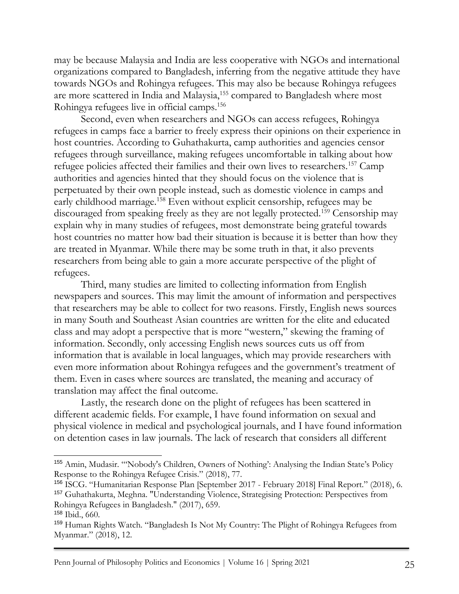may be because Malaysia and India are less cooperative with NGOs and international organizations compared to Bangladesh, inferring from the negative attitude they have towards NGOs and Rohingya refugees. This may also be because Rohingya refugees are more scattered in India and Malaysia,<sup>155</sup> compared to Bangladesh where most Rohingya refugees live in official camps.<sup>156</sup>

Second, even when researchers and NGOs can access refugees, Rohingya refugees in camps face a barrier to freely express their opinions on their experience in host countries. According to Guhathakurta, camp authorities and agencies censor refugees through surveillance, making refugees uncomfortable in talking about how refugee policies affected their families and their own lives to researchers.<sup>157</sup> Camp authorities and agencies hinted that they should focus on the violence that is perpetuated by their own people instead, such as domestic violence in camps and early childhood marriage.<sup>158</sup> Even without explicit censorship, refugees may be discouraged from speaking freely as they are not legally protected.<sup>159</sup> Censorship may explain why in many studies of refugees, most demonstrate being grateful towards host countries no matter how bad their situation is because it is better than how they are treated in Myanmar. While there may be some truth in that, it also prevents researchers from being able to gain a more accurate perspective of the plight of refugees.

Third, many studies are limited to collecting information from English newspapers and sources. This may limit the amount of information and perspectives that researchers may be able to collect for two reasons. Firstly, English news sources in many South and Southeast Asian countries are written for the elite and educated class and may adopt a perspective that is more "western," skewing the framing of information. Secondly, only accessing English news sources cuts us off from information that is available in local languages, which may provide researchers with even more information about Rohingya refugees and the government's treatment of them. Even in cases where sources are translated, the meaning and accuracy of translation may affect the final outcome.

Lastly, the research done on the plight of refugees has been scattered in different academic fields. For example, I have found information on sexual and physical violence in medical and psychological journals, and I have found information on detention cases in law journals. The lack of research that considers all different

<sup>155</sup> Amin, Mudasir. "'Nobody's Children, Owners of Nothing': Analysing the Indian State's Policy Response to the Rohingya Refugee Crisis." (2018), 77.

<sup>156</sup> ISCG. "Humanitarian Response Plan [September 2017 - February 2018] Final Report." (2018), 6. <sup>157</sup> Guhathakurta, Meghna. "Understanding Violence, Strategising Protection: Perspectives from Rohingya Refugees in Bangladesh." (2017), 659.

<sup>158</sup> Ibid., 660.

<sup>159</sup> Human Rights Watch. "Bangladesh Is Not My Country: The Plight of Rohingya Refugees from Myanmar." (2018), 12.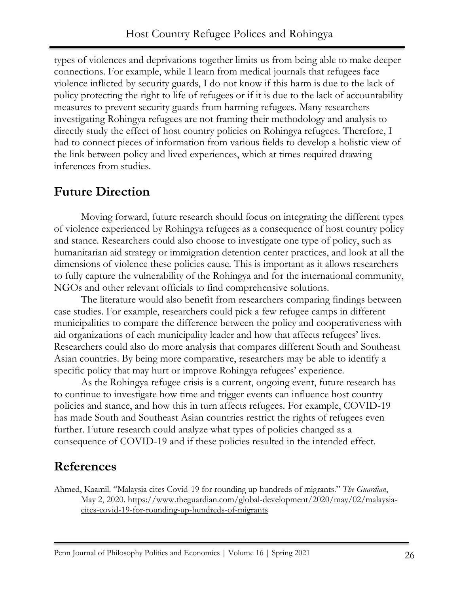types of violences and deprivations together limits us from being able to make deeper connections. For example, while I learn from medical journals that refugees face violence inflicted by security guards, I do not know if this harm is due to the lack of policy protecting the right to life of refugees or if it is due to the lack of accountability measures to prevent security guards from harming refugees. Many researchers investigating Rohingya refugees are not framing their methodology and analysis to directly study the effect of host country policies on Rohingya refugees. Therefore, I had to connect pieces of information from various fields to develop a holistic view of the link between policy and lived experiences, which at times required drawing inferences from studies.

### **Future Direction**

Moving forward, future research should focus on integrating the different types of violence experienced by Rohingya refugees as a consequence of host country policy and stance. Researchers could also choose to investigate one type of policy, such as humanitarian aid strategy or immigration detention center practices, and look at all the dimensions of violence these policies cause. This is important as it allows researchers to fully capture the vulnerability of the Rohingya and for the international community, NGOs and other relevant officials to find comprehensive solutions.

The literature would also benefit from researchers comparing findings between case studies. For example, researchers could pick a few refugee camps in different municipalities to compare the difference between the policy and cooperativeness with aid organizations of each municipality leader and how that affects refugees' lives. Researchers could also do more analysis that compares different South and Southeast Asian countries. By being more comparative, researchers may be able to identify a specific policy that may hurt or improve Rohingya refugees' experience.

As the Rohingya refugee crisis is a current, ongoing event, future research has to continue to investigate how time and trigger events can influence host country policies and stance, and how this in turn affects refugees. For example, COVID-19 has made South and Southeast Asian countries restrict the rights of refugees even further. Future research could analyze what types of policies changed as a consequence of COVID-19 and if these policies resulted in the intended effect.

# **References**

Ahmed, Kaamil. "Malaysia cites Covid-19 for rounding up hundreds of migrants." *The Guardian*, May 2, 2020. [https://www.theguardian.com/global-development/2020/may/02/malaysia](https://www.theguardian.com/global-development/2020/may/02/malaysia-cites-covid-19-for-rounding-up-hundreds-of-migrants)[cites-covid-19-for-rounding-up-hundreds-of-migrants](https://www.theguardian.com/global-development/2020/may/02/malaysia-cites-covid-19-for-rounding-up-hundreds-of-migrants)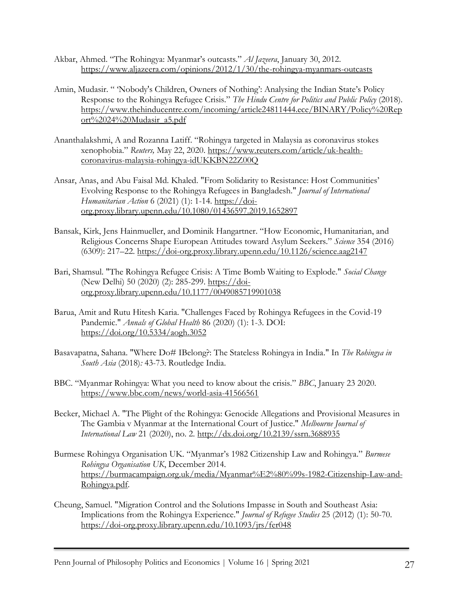- Akbar, Ahmed. "The Rohingya: Myanmar's outcasts." *Al Jazeera*, January 30, 2012. <https://www.aljazeera.com/opinions/2012/1/30/the-rohingya-myanmars-outcasts>
- Amin, Mudasir. " 'Nobody's Children, Owners of Nothing': Analysing the Indian State's Policy Response to the Rohingya Refugee Crisis." *The Hindu Centre for Politics and Public Policy* (2018). [https://www.thehinducentre.com/incoming/article24811444.ece/BINARY/Policy%20Rep](https://www.thehinducentre.com/incoming/article24811444.ece/BINARY/Policy%20Report%2024%20Mudasir_a5.pdf) [ort%2024%20Mudasir\\_a5.pdf](https://www.thehinducentre.com/incoming/article24811444.ece/BINARY/Policy%20Report%2024%20Mudasir_a5.pdf)
- [Ananthalakshmi,](https://www.reuters.com/journalists/a-ananthalakshmi) A and [Rozanna Latiff](https://www.reuters.com/journalists/rozanna-latiff). "Rohingya targeted in Malaysia as coronavirus stokes xenophobia." *Reuters,* May 22, 2020. [https://www.reuters.com/article/uk-health](https://www.reuters.com/article/uk-health-coronavirus-malaysia-rohingya-idUKKBN22Z00Q)[coronavirus-malaysia-rohingya-idUKKBN22Z00Q](https://www.reuters.com/article/uk-health-coronavirus-malaysia-rohingya-idUKKBN22Z00Q)
- Ansar, Anas, and Abu Faisal Md. Khaled. "From Solidarity to Resistance: Host Communities' Evolving Response to the Rohingya Refugees in Bangladesh." *Journal of International Humanitarian Action* 6 (2021) (1): 1-14. [https://doi](https://doi-org.proxy.library.upenn.edu/10.1080/01436597.2019.1652897)[org.proxy.library.upenn.edu/10.1080/01436597.2019.1652897](https://doi-org.proxy.library.upenn.edu/10.1080/01436597.2019.1652897)
- Bansak, Kirk, Jens Hainmueller, and Dominik Hangartner. "How Economic, Humanitarian, and Religious Concerns Shape European Attitudes toward Asylum Seekers." *Science* 354 (2016) (6309): 217–22.<https://doi-org.proxy.library.upenn.edu/10.1126/science.aag2147>
- Bari, Shamsul. "The Rohingya Refugee Crisis: A Time Bomb Waiting to Explode." *Social Change* (New Delhi) 50 (2020) (2): 285-299. [https://doi](https://doi-org.proxy.library.upenn.edu/10.1177%2F0049085719901038)[org.proxy.library.upenn.edu/10.1177/0049085719901038](https://doi-org.proxy.library.upenn.edu/10.1177%2F0049085719901038)
- Barua, Amit and Rutu Hitesh Karia. "Challenges Faced by Rohingya Refugees in the Covid-19 Pandemic." *Annals of Global Health* 86 (2020) (1): 1-3. DOI: <https://doi.org/10.5334/aogh.3052>
- Basavapatna, Sahana. "Where Do# IBelong?: The Stateless Rohingya in India." In *The Rohingya in South Asia* (2018)*:* 43-73. Routledge India.
- BBC. "Myanmar Rohingya: What you need to know about the crisis." *BBC*, January 23 2020. <https://www.bbc.com/news/world-asia-41566561>
- Becker, Michael A. "The Plight of the Rohingya: Genocide Allegations and Provisional Measures in The Gambia v Myanmar at the International Court of Justice." *Melbourne Journal of International Law* 21 (2020), no. 2. [http://dx.doi.org/10.2139/ssrn.3688935](https://dx.doi.org/10.2139/ssrn.3688935)
- Burmese Rohingya Organisation UK. "Myanmar's 1982 Citizenship Law and Rohingya." *Burmese Rohingya Organisation UK*, December 2014. [https://burmacampaign.org.uk/media/Myanmar%E2%80%99s-1982-Citizenship-Law-and-](https://burmacampaign.org.uk/media/Myanmar%E2%80%99s-1982-Citizenship-Law-and-Rohingya.pdf)[Rohingya.pdf.](https://burmacampaign.org.uk/media/Myanmar%E2%80%99s-1982-Citizenship-Law-and-Rohingya.pdf)
- Cheung, Samuel. "Migration Control and the Solutions Impasse in South and Southeast Asia: Implications from the Rohingya Experience." *Journal of Refugee Studies* 25 (2012) (1): 50-70. <https://doi-org.proxy.library.upenn.edu/10.1093/jrs/fer048>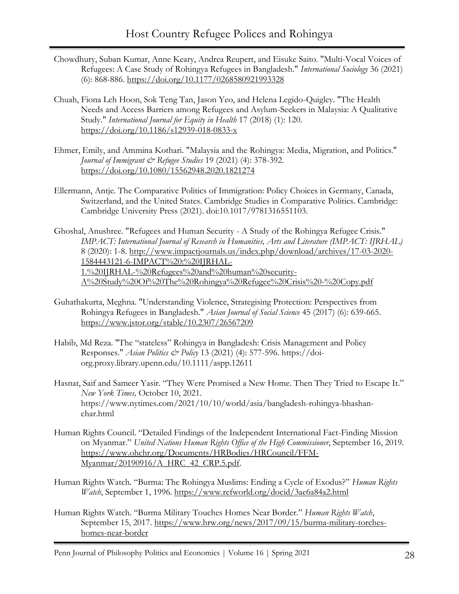- Chowdhury, Suban Kumar, Anne Keary, Andrea Reupert, and Eisuke Saito. "Multi-Vocal Voices of Refugees: A Case Study of Rohingya Refugees in Bangladesh." *International Sociology* 36 (2021) (6): 868-886.<https://doi.org/10.1177/0268580921993328>
- Chuah, Fiona Leh Hoon, Sok Teng Tan, Jason Yeo, and Helena Legido-Quigley. "The Health Needs and Access Barriers among Refugees and Asylum-Seekers in Malaysia: A Qualitative Study." *International Journal for Equity in Health* 17 (2018) (1): 120. <https://doi.org/10.1186/s12939-018-0833-x>
- Ehmer, Emily, and Ammina Kothari. "Malaysia and the Rohingya: Media, Migration, and Politics." *Journal of Immigrant & Refugee Studies* 19 (2021) (4): 378-392. <https://doi.org/10.1080/15562948.2020.1821274>
- Ellermann, Antje. The Comparative Politics of Immigration: Policy Choices in Germany, Canada, Switzerland, and the United States. Cambridge Studies in Comparative Politics. Cambridge: Cambridge University Press (2021). doi:10.1017/9781316551103.
- Ghoshal, Anushree. "Refugees and Human Security A Study of the Rohingya Refugee Crisis." *IMPACT: International Journal of Research in Humanities, Arts and Literature (IMPACT: IJRHAL)* 8 (2020): 1-8. [http://www.impactjournals.us/index.php/download/archives/17-03-2020-](http://www.impactjournals.us/index.php/download/archives/17-03-2020-1584443121-6-IMPACT%20:%20IJRHAL-1.%20IJRHAL-%20Refugees%20and%20human%20security-A%20Study%20Of%20The%20Rohingya%20Refugee%20Crisis%20-%20Copy.pdf) [1584443121-6-IMPACT%20:%20IJRHAL-](http://www.impactjournals.us/index.php/download/archives/17-03-2020-1584443121-6-IMPACT%20:%20IJRHAL-1.%20IJRHAL-%20Refugees%20and%20human%20security-A%20Study%20Of%20The%20Rohingya%20Refugee%20Crisis%20-%20Copy.pdf)[1.%20IJRHAL-%20Refugees%20and%20human%20security-](http://www.impactjournals.us/index.php/download/archives/17-03-2020-1584443121-6-IMPACT%20:%20IJRHAL-1.%20IJRHAL-%20Refugees%20and%20human%20security-A%20Study%20Of%20The%20Rohingya%20Refugee%20Crisis%20-%20Copy.pdf)[A%20Study%20Of%20The%20Rohingya%20Refugee%20Crisis%20-%20Copy.pdf](http://www.impactjournals.us/index.php/download/archives/17-03-2020-1584443121-6-IMPACT%20:%20IJRHAL-1.%20IJRHAL-%20Refugees%20and%20human%20security-A%20Study%20Of%20The%20Rohingya%20Refugee%20Crisis%20-%20Copy.pdf)
- Guhathakurta, Meghna. "Understanding Violence, Strategising Protection: Perspectives from Rohingya Refugees in Bangladesh." *Asian Journal of Social Science* 45 (2017) (6): 639-665. <https://www.jstor.org/stable/10.2307/26567209>
- Habib, Md Reza. "The "stateless" Rohingya in Bangladesh: Crisis Management and Policy Responses." *Asian Politics & Policy* 13 (2021) (4): 577-596. [https://doi](https://doi-org.proxy.library.upenn.edu/10.1111/aspp.12611)[org.proxy.library.upenn.edu/10.1111/aspp.12611](https://doi-org.proxy.library.upenn.edu/10.1111/aspp.12611)
- Hasnat, Saif and Sameer Yasir. "They Were Promised a New Home. Then They Tried to Escape It." *New York Times,* October 10, 2021. [https://www.nytimes.com/2021/10/10/world/asia/bangladesh-rohingya-bhashan](https://www.nytimes.com/2021/10/10/world/asia/bangladesh-rohingya-bhashan-char.html)[char.html](https://www.nytimes.com/2021/10/10/world/asia/bangladesh-rohingya-bhashan-char.html)
- Human Rights Council. "Detailed Findings of the Independent International Fact-Finding Mission on Myanmar." *United Nations Human Rights Office of the High Commissioner*, September 16, 2019. [https://www.ohchr.org/Documents/HRBodies/HRCouncil/FFM-](https://www.ohchr.org/Documents/HRBodies/HRCouncil/FFM-Myanmar/20190916/A_HRC_42_CRP.5.pdf)[Myanmar/20190916/A\\_HRC\\_42\\_CRP.5.pdf.](https://www.ohchr.org/Documents/HRBodies/HRCouncil/FFM-Myanmar/20190916/A_HRC_42_CRP.5.pdf)
- Human Rights Watch. "Burma: The Rohingya Muslims: Ending a Cycle of Exodus?" *Human Rights Watch*, September 1, 1996.<https://www.refworld.org/docid/3ae6a84a2.html>
- Human Rights Watch. "Burma Military Touches Homes Near Border." *Human Rights Watch*, September 15, 2017. [https://www.hrw.org/news/2017/09/15/burma-military-torches](https://www.hrw.org/news/2017/09/15/burma-military-torches-homes-near-border)[homes-near-border](https://www.hrw.org/news/2017/09/15/burma-military-torches-homes-near-border)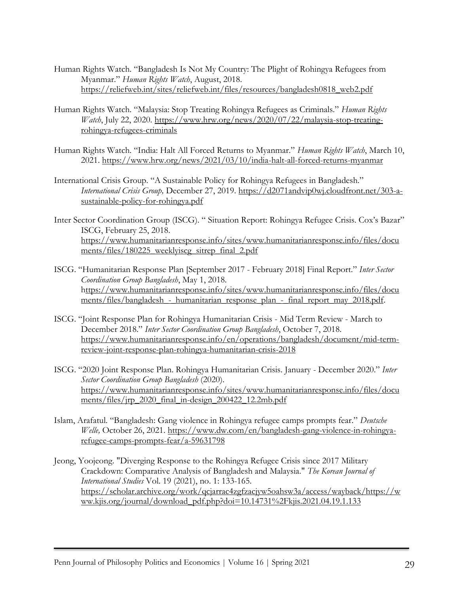- Human Rights Watch. "Bangladesh Is Not My Country: The Plight of Rohingya Refugees from Myanmar." *Human Rights Watch*, August, 2018. [https://reliefweb.int/sites/reliefweb.int/files/resources/bangladesh0818\\_web2.pdf](https://reliefweb.int/sites/reliefweb.int/files/resources/bangladesh0818_web2.pdf)
- Human Rights Watch. "Malaysia: Stop Treating Rohingya Refugees as Criminals." *Human Rights Watch*, July 22, 2020. [https://www.hrw.org/news/2020/07/22/malaysia-stop-treating](https://www.hrw.org/news/2020/07/22/malaysia-stop-treating-rohingya-refugees-criminals)[rohingya-refugees-criminals](https://www.hrw.org/news/2020/07/22/malaysia-stop-treating-rohingya-refugees-criminals)
- Human Rights Watch. "India: Halt All Forced Returns to Myanmar." *Human Rights Watch*, March 10, 2021.<https://www.hrw.org/news/2021/03/10/india-halt-all-forced-returns-myanmar>
- International Crisis Group. "A Sustainable Policy for Rohingya Refugees in Bangladesh." *International Crisis Group,* December 27, 2019. [https://d2071andvip0wj.cloudfront.net/303-a](https://d2071andvip0wj.cloudfront.net/303-a-sustainable-policy-for-rohingya.pdf)[sustainable-policy-for-rohingya.pdf](https://d2071andvip0wj.cloudfront.net/303-a-sustainable-policy-for-rohingya.pdf)
- Inter Sector Coordination Group (ISCG). " Situation Report: Rohingya Refugee Crisis. Cox's Bazar" ISCG, February 25, 2018. [https://www.humanitarianresponse.info/sites/www.humanitarianresponse.info/files/docu](https://www.humanitarianresponse.info/sites/www.humanitarianresponse.info/files/documents/files/180225_weeklyiscg_sitrep_final_2.pdf) [ments/files/180225\\_weeklyiscg\\_sitrep\\_final\\_2.pdf](https://www.humanitarianresponse.info/sites/www.humanitarianresponse.info/files/documents/files/180225_weeklyiscg_sitrep_final_2.pdf)
- ISCG. "Humanitarian Response Plan [September 2017 February 2018] Final Report." *Inter Sector Coordination Group Bangladesh*, May 1, 2018. [https://www.humanitarianresponse.info/sites/www.humanitarianresponse.info/files/docu](https://www.humanitarianresponse.info/sites/www.humanitarianresponse.info/files/documents/files/bangladesh_-_humanitarian_response_plan_-_final_report_may_2018.pdf) ments/files/bangladesh - humanitarian response plan - final report may 2018.pdf.
- ISCG. "Joint Response Plan for Rohingya Humanitarian Crisis Mid Term Review March to December 2018." *Inter Sector Coordination Group Bangladesh*, October 7, 2018. [https://www.humanitarianresponse.info/en/operations/bangladesh/document/mid-term](https://www.humanitarianresponse.info/en/operations/bangladesh/document/mid-term-review-joint-response-plan-rohingya-humanitarian-crisis-2018)[review-joint-response-plan-rohingya-humanitarian-crisis-2018](https://www.humanitarianresponse.info/en/operations/bangladesh/document/mid-term-review-joint-response-plan-rohingya-humanitarian-crisis-2018)
- ISCG. "2020 Joint Response Plan. Rohingya Humanitarian Crisis. January December 2020." *Inter Sector Coordination Group Bangladesh* (2020). [https://www.humanitarianresponse.info/sites/www.humanitarianresponse.info/files/docu](https://www.humanitarianresponse.info/sites/www.humanitarianresponse.info/files/documents/files/jrp_2020_final_in-design_200422_12.2mb.pdf) [ments/files/jrp\\_2020\\_final\\_in-design\\_200422\\_12.2mb.pdf](https://www.humanitarianresponse.info/sites/www.humanitarianresponse.info/files/documents/files/jrp_2020_final_in-design_200422_12.2mb.pdf)
- Islam, Arafatul. "Bangladesh: Gang violence in Rohingya refugee camps prompts fear." *Deutsche Welle,* October 26, 2021. [https://www.dw.com/en/bangladesh-gang-violence-in-rohingya](https://www.dw.com/en/bangladesh-gang-violence-in-rohingya-refugee-camps-prompts-fear/a-59631798)[refugee-camps-prompts-fear/a-59631798](https://www.dw.com/en/bangladesh-gang-violence-in-rohingya-refugee-camps-prompts-fear/a-59631798)
- Jeong, Yoojeong. "Diverging Response to the Rohingya Refugee Crisis since 2017 Military Crackdown: Comparative Analysis of Bangladesh and Malaysia." *The Korean Journal of International Studies* Vol. 19 (2021), no. 1: 133-165. [https://scholar.archive.org/work/qcjarrac4zgfzacjyw5oahsw3a/access/wayback/https://w](https://scholar.archive.org/work/qcjarrac4zgfzacjyw5oahsw3a/access/wayback/https:/www.kjis.org/journal/download_pdf.php?doi=10.14731%2Fkjis.2021.04.19.1.133) [ww.kjis.org/journal/download\\_pdf.php?doi=10.14731%2Fkjis.2021.04.19.1.133](https://scholar.archive.org/work/qcjarrac4zgfzacjyw5oahsw3a/access/wayback/https:/www.kjis.org/journal/download_pdf.php?doi=10.14731%2Fkjis.2021.04.19.1.133)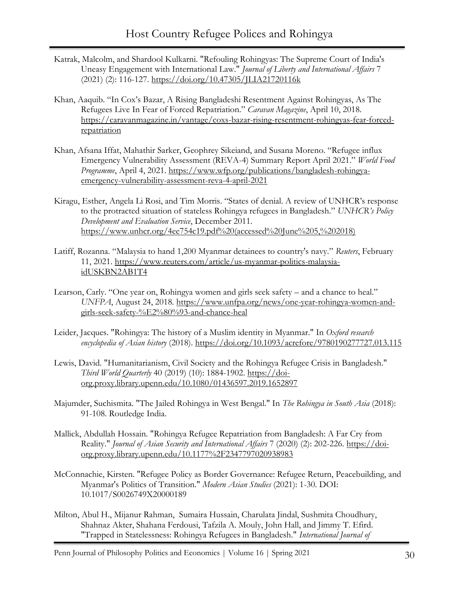- Katrak, Malcolm, and Shardool Kulkarni. "Refouling Rohingyas: The Supreme Court of India's Uneasy Engagement with International Law." *Journal of Liberty and International Affairs* 7 (2021) (2): 116-127.<https://doi.org/10.47305/JLIA21720116k>
- Khan, Aaquib. "In Cox's Bazar, A Rising Bangladeshi Resentment Against Rohingyas, As The Refugees Live In Fear of Forced Repatriation." *Caravan Magazine*, April 10, 2018. [https://caravanmagazine.in/vantage/coxs-bazar-rising-resentment-rohingyas-fear-forced](https://caravanmagazine.in/vantage/coxs-bazar-rising-resentment-rohingyas-fear-forced-repatriation)[repatriation](https://caravanmagazine.in/vantage/coxs-bazar-rising-resentment-rohingyas-fear-forced-repatriation)
- Khan, Afsana Iffat, Mahathir Sarker, Geophrey Sikeiand, and Susana Moreno. "Refugee influx Emergency Vulnerability Assessment (REVA-4) Summary Report April 2021." *World Food Programme*, April 4, 2021. [https://www.wfp.org/publications/bangladesh-rohingya](https://www.wfp.org/publications/bangladesh-rohingya-emergency-vulnerability-assessment-reva-4-april-2021)[emergency-vulnerability-assessment-reva-4-april-2021](https://www.wfp.org/publications/bangladesh-rohingya-emergency-vulnerability-assessment-reva-4-april-2021)
- Kiragu, Esther, Angela Li Rosi, and Tim Morris. "States of denial. A review of UNHCR's response to the protracted situation of stateless Rohingya refugees in Bangladesh." *UNHCR's Policy Development and Evaluation Service*, December 2011. [https://www.unhcr.org/4ee754c19.pdf%20\(accessed%20June%205,%202018\)](https://www.unhcr.org/4ee754c19.pdf%20(accessed%20June%205,%202018))
- Latiff, Rozanna. "Malaysia to hand 1,200 Myanmar detainees to country's navy." *Reuters*, February 11, 2021. [https://www.reuters.com/article/us-myanmar-politics-malaysia](https://www.reuters.com/article/us-myanmar-politics-malaysia-idUSKBN2AB1T4)[idUSKBN2AB1T4](https://www.reuters.com/article/us-myanmar-politics-malaysia-idUSKBN2AB1T4)
- Learson, Carly. "One year on, Rohingya women and girls seek safety and a chance to heal." *UNFPA*, August 24, 2018. [https://www.unfpa.org/news/one-year-rohingya-women-and](https://www.unfpa.org/news/one-year-rohingya-women-and-girls-seek-safety-%E2%80%93-and-chance-heal)[girls-seek-safety-%E2%80%93-and-chance-heal](https://www.unfpa.org/news/one-year-rohingya-women-and-girls-seek-safety-%E2%80%93-and-chance-heal)
- Leider, Jacques. "Rohingya: The history of a Muslim identity in Myanmar." In *Oxford research encyclopedia of Asian history* (2018).<https://doi.org/10.1093/acrefore/9780190277727.013.115>
- Lewis, David. "Humanitarianism, Civil Society and the Rohingya Refugee Crisis in Bangladesh." *Third World Quarterly* 40 (2019) (10): 1884-1902. [https://doi](https://doi-org.proxy.library.upenn.edu/10.1080/01436597.2019.1652897)[org.proxy.library.upenn.edu/10.1080/01436597.2019.1652897](https://doi-org.proxy.library.upenn.edu/10.1080/01436597.2019.1652897)
- Majumder, Suchismita. "The Jailed Rohingya in West Bengal." In *The Rohingya in South Asia* (2018): 91-108. Routledge India.
- Mallick, Abdullah Hossain. "Rohingya Refugee Repatriation from Bangladesh: A Far Cry from Reality." *Journal of Asian Security and International Affairs* 7 (2020) (2): 202-226. [https://doi](https://doi-org.proxy.library.upenn.edu/10.1177%2F2347797020938983)[org.proxy.library.upenn.edu/10.1177%2F2347797020938983](https://doi-org.proxy.library.upenn.edu/10.1177%2F2347797020938983)
- McConnachie, Kirsten. "Refugee Policy as Border Governance: Refugee Return, Peacebuilding, and Myanmar's Politics of Transition." *Modern Asian Studies* (2021): 1-30. DOI: 10.1017/S0026749X20000189
- Milton, Abul H., Mijanur Rahman, Sumaira Hussain, Charulata Jindal, Sushmita Choudhury, Shahnaz Akter, Shahana Ferdousi, Tafzila A. Mouly, John Hall, and Jimmy T. Efird. "Trapped in Statelessness: Rohingya Refugees in Bangladesh." *International Journal of*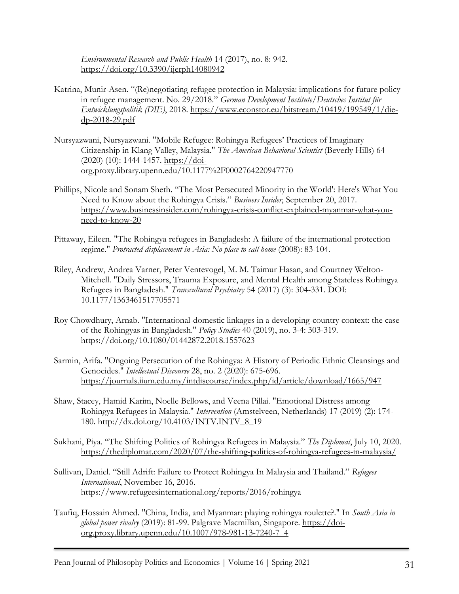*Environmental Research and Public Health* 14 (2017), no. 8: 942. <https://doi.org/10.3390/ijerph14080942>

- Katrina, Munir-Asen. "(Re)negotiating refugee protection in Malaysia: implications for future policy in refugee management. No. 29/2018." *German Development Institute/Deutsches Institut für Entwicklungspolitik (DIE)*, 2018. [https://www.econstor.eu/bitstream/10419/199549/1/die](https://www.econstor.eu/bitstream/10419/199549/1/die-dp-2018-29.pdf)[dp-2018-29.pdf](https://www.econstor.eu/bitstream/10419/199549/1/die-dp-2018-29.pdf)
- Nursyazwani, Nursyazwani. "Mobile Refugee: Rohingya Refugees' Practices of Imaginary Citizenship in Klang Valley, Malaysia." *The American Behavioral Scientist* (Beverly Hills) 64 (2020) (10): 1444-1457. [https://doi](https://doi-org.proxy.library.upenn.edu/10.1177%2F0002764220947770)[org.proxy.library.upenn.edu/10.1177%2F0002764220947770](https://doi-org.proxy.library.upenn.edu/10.1177%2F0002764220947770)
- Phillips, Nicole and [Sonam Sheth](https://www.businessinsider.com/author/sonam-sheth). "The Most Persecuted Minority in the World': Here's What You Need to Know about the Rohingya Crisis." *Business Insider*, September 20, 2017. [https://www.businessinsider.com/rohingya-crisis-conflict-explained-myanmar-what-you](https://www.businessinsider.com/rohingya-crisis-conflict-explained-myanmar-what-you-need-to-know-20)[need-to-know-20](https://www.businessinsider.com/rohingya-crisis-conflict-explained-myanmar-what-you-need-to-know-20)
- Pittaway, Eileen. "The Rohingya refugees in Bangladesh: A failure of the international protection regime." *Protracted displacement in Asia: No place to call home* (2008): 83-104.
- Riley, Andrew, Andrea Varner, Peter Ventevogel, M. M. Taimur Hasan, and Courtney Welton-Mitchell. "Daily Stressors, Trauma Exposure, and Mental Health among Stateless Rohingya Refugees in Bangladesh." *Transcultural Psychiatry* 54 (2017) (3): 304-331. DOI: 10.1177/1363461517705571
- Roy Chowdhury, Arnab. "International-domestic linkages in a developing-country context: the case of the Rohingyas in Bangladesh." *Policy Studies* 40 (2019), no. 3-4: 303-319. <https://doi.org/10.1080/01442872.2018.1557623>
- Sarmin, Arifa. "Ongoing Persecution of the Rohingya: A History of Periodic Ethnic Cleansings and Genocides." *Intellectual Discourse* 28, no. 2 (2020): 675-696. <https://journals.iium.edu.my/intdiscourse/index.php/id/article/download/1665/947>
- Shaw, Stacey, Hamid Karim, Noelle Bellows, and Veena Pillai. "Emotional Distress among Rohingya Refugees in Malaysia." *Intervention* (Amstelveen, Netherlands) 17 (2019) (2): 174- 180. [http://dx.doi.org/10.4103/INTV.INTV\\_8\\_19](http://dx.doi.org/10.4103/INTV.INTV_8_19)
- Sukhani, Piya. "The Shifting Politics of Rohingya Refugees in Malaysia." *The Diplomat*, July 10, 2020. <https://thediplomat.com/2020/07/the-shifting-politics-of-rohingya-refugees-in-malaysia/>
- Sullivan, Daniel. "Still Adrift: Failure to Protect Rohingya In Malaysia and Thailand." *Refugees International*, November 16, 2016. <https://www.refugeesinternational.org/reports/2016/rohingya>
- Taufiq, Hossain Ahmed. "China, India, and Myanmar: playing rohingya roulette?." In *South Asia in global power rivalry* (2019): 81-99. Palgrave Macmillan, Singapore. [https://doi](https://doi-org.proxy.library.upenn.edu/10.1007/978-981-13-7240-7_4)[org.proxy.library.upenn.edu/10.1007/978-981-13-7240-7\\_4](https://doi-org.proxy.library.upenn.edu/10.1007/978-981-13-7240-7_4)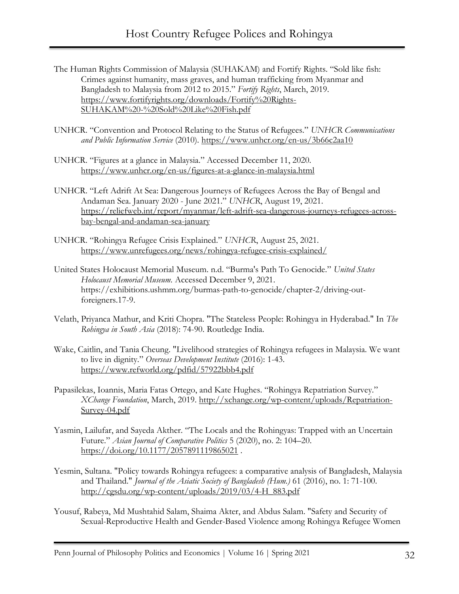- The Human Rights Commission of Malaysia (SUHAKAM) and Fortify Rights. "Sold like fish: Crimes against humanity, mass graves, and human trafficking from Myanmar and Bangladesh to Malaysia from 2012 to 2015." *Fortify Rights*, March, 2019. [https://www.fortifyrights.org/downloads/Fortify%20Rights-](https://www.fortifyrights.org/downloads/Fortify%20Rights-SUHAKAM%20-%20Sold%20Like%20Fish.pdf)[SUHAKAM%20-%20Sold%20Like%20Fish.pdf](https://www.fortifyrights.org/downloads/Fortify%20Rights-SUHAKAM%20-%20Sold%20Like%20Fish.pdf)
- UNHCR. "Convention and Protocol Relating to the Status of Refugees." *UNHCR Communications and Public Information Service* (2010)*.* <https://www.unhcr.org/en-us/3b66c2aa10>
- UNHCR. "Figures at a glance in Malaysia." Accessed December 11, 2020. <https://www.unhcr.org/en-us/figures-at-a-glance-in-malaysia.html>
- UNHCR. "Left Adrift At Sea: Dangerous Journeys of Refugees Across the Bay of Bengal and Andaman Sea. January 2020 - June 2021." *UNHCR*, August 19, 2021. [https://reliefweb.int/report/myanmar/left-adrift-sea-dangerous-journeys-refugees-across](https://reliefweb.int/report/myanmar/left-adrift-sea-dangerous-journeys-refugees-across-bay-bengal-and-andaman-sea-january)[bay-bengal-and-andaman-sea-january](https://reliefweb.int/report/myanmar/left-adrift-sea-dangerous-journeys-refugees-across-bay-bengal-and-andaman-sea-january)
- UNHCR. "Rohingya Refugee Crisis Explained." *UNHCR*, August 25, 2021. <https://www.unrefugees.org/news/rohingya-refugee-crisis-explained/>
- United States Holocaust Memorial Museum. n.d. "Burma's Path To Genocide." *United States Holocaust Memorial Museum.* Accessed December 9, 2021. https://exhibitions.ushmm.org/burmas-path-to-genocide/chapter-2/driving-outforeigners.17-9.
- Velath, Priyanca Mathur, and Kriti Chopra. "The Stateless People: Rohingya in Hyderabad." In *The Rohingya in South Asia* (2018): 74-90. Routledge India.
- Wake, Caitlin, and Tania Cheung. "Livelihood strategies of Rohingya refugees in Malaysia. We want to live in dignity." *Overseas Development Institute* (2016): 1-43. <https://www.refworld.org/pdfid/57922bbb4.pdf>
- Papasilekas, Ioannis, Maria Fatas Ortego, and Kate Hughes. "Rohingya Repatriation Survey." *XChange Foundation*, March, 2019. [http://xchange.org/wp-content/uploads/Repatriation-](http://xchange.org/wp-content/uploads/Repatriation-Survey-04.pdf)[Survey-04.pdf](http://xchange.org/wp-content/uploads/Repatriation-Survey-04.pdf)
- Yasmin, Lailufar, and Sayeda Akther. "The Locals and the Rohingyas: Trapped with an Uncertain Future." *Asian Journal of Comparative Politics* 5 (2020), no. 2: 104–20. <https://doi.org/10.1177/2057891119865021> .
- Yesmin, Sultana. "Policy towards Rohingya refugees: a comparative analysis of Bangladesh, Malaysia and Thailand." *Journal of the Asiatic Society of Bangladesh (Hum.)* 61 (2016), no. 1: 71-100. [http://cgsdu.org/wp-content/uploads/2019/03/4-H\\_883.pdf](http://cgsdu.org/wp-content/uploads/2019/03/4-H_883.pdf)
- Yousuf, Rabeya, Md Mushtahid Salam, Shaima Akter, and Abdus Salam. "Safety and Security of Sexual-Reproductive Health and Gender-Based Violence among Rohingya Refugee Women